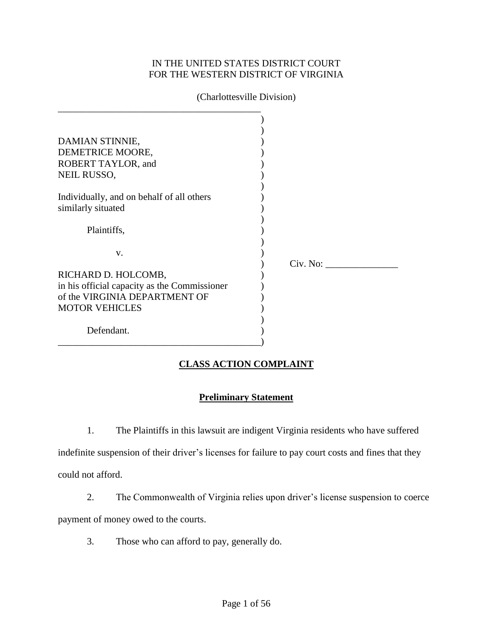## IN THE UNITED STATES DISTRICT COURT FOR THE WESTERN DISTRICT OF VIRGINIA

| (Chariottesville Division)                   |          |
|----------------------------------------------|----------|
|                                              |          |
|                                              |          |
| DAMIAN STINNIE,                              |          |
| DEMETRICE MOORE,                             |          |
| ROBERT TAYLOR, and                           |          |
| NEIL RUSSO,                                  |          |
|                                              |          |
| Individually, and on behalf of all others    |          |
| similarly situated                           |          |
|                                              |          |
| Plaintiffs,                                  |          |
|                                              |          |
| V.                                           |          |
|                                              | Civ. No: |
| RICHARD D. HOLCOMB,                          |          |
| in his official capacity as the Commissioner |          |
| of the VIRGINIA DEPARTMENT OF                |          |
| <b>MOTOR VEHICLES</b>                        |          |
|                                              |          |
| Defendant.                                   |          |

# (Charlottesville Division)

## **CLASS ACTION COMPLAINT**

## **Preliminary Statement**

1. The Plaintiffs in this lawsuit are indigent Virginia residents who have suffered

indefinite suspension of their driver's licenses for failure to pay court costs and fines that they could not afford.

- 2. The Commonwealth of Virginia relies upon driver's license suspension to coerce payment of money owed to the courts.
	- 3. Those who can afford to pay, generally do.

\_\_\_\_\_\_\_\_\_\_\_\_\_\_\_\_\_\_\_\_\_\_\_\_\_\_\_\_\_\_\_\_\_\_\_\_\_\_\_\_\_\_)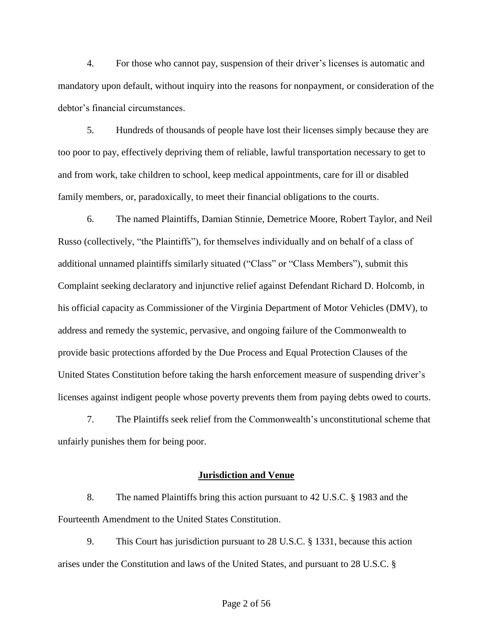4. For those who cannot pay, suspension of their driver's licenses is automatic and mandatory upon default, without inquiry into the reasons for nonpayment, or consideration of the debtor's financial circumstances.

5. Hundreds of thousands of people have lost their licenses simply because they are too poor to pay, effectively depriving them of reliable, lawful transportation necessary to get to and from work, take children to school, keep medical appointments, care for ill or disabled family members, or, paradoxically, to meet their financial obligations to the courts.

6. The named Plaintiffs, Damian Stinnie, Demetrice Moore, Robert Taylor, and Neil Russo (collectively, "the Plaintiffs"), for themselves individually and on behalf of a class of additional unnamed plaintiffs similarly situated ("Class" or "Class Members"), submit this Complaint seeking declaratory and injunctive relief against Defendant Richard D. Holcomb, in his official capacity as Commissioner of the Virginia Department of Motor Vehicles (DMV), to address and remedy the systemic, pervasive, and ongoing failure of the Commonwealth to provide basic protections afforded by the Due Process and Equal Protection Clauses of the United States Constitution before taking the harsh enforcement measure of suspending driver's licenses against indigent people whose poverty prevents them from paying debts owed to courts.

7. The Plaintiffs seek relief from the Commonwealth's unconstitutional scheme that unfairly punishes them for being poor.

#### **Jurisdiction and Venue**

8. The named Plaintiffs bring this action pursuant to 42 U.S.C. § 1983 and the Fourteenth Amendment to the United States Constitution.

9. This Court has jurisdiction pursuant to 28 U.S.C. § 1331, because this action arises under the Constitution and laws of the United States, and pursuant to 28 U.S.C. §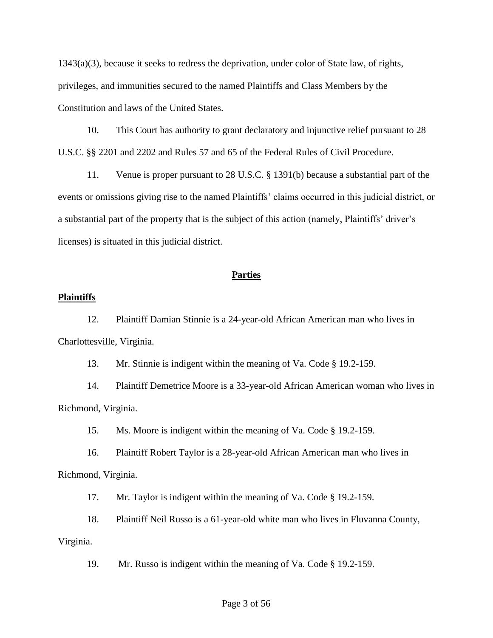1343(a)(3), because it seeks to redress the deprivation, under color of State law, of rights, privileges, and immunities secured to the named Plaintiffs and Class Members by the Constitution and laws of the United States.

10. This Court has authority to grant declaratory and injunctive relief pursuant to 28 U.S.C. §§ 2201 and 2202 and Rules 57 and 65 of the Federal Rules of Civil Procedure.

11. Venue is proper pursuant to 28 U.S.C. § 1391(b) because a substantial part of the events or omissions giving rise to the named Plaintiffs' claims occurred in this judicial district, or a substantial part of the property that is the subject of this action (namely, Plaintiffs' driver's licenses) is situated in this judicial district.

## **Parties**

### **Plaintiffs**

12. Plaintiff Damian Stinnie is a 24-year-old African American man who lives in Charlottesville, Virginia.

13. Mr. Stinnie is indigent within the meaning of Va. Code § 19.2-159.

14. Plaintiff Demetrice Moore is a 33-year-old African American woman who lives in Richmond, Virginia.

15. Ms. Moore is indigent within the meaning of Va. Code § 19.2-159.

16. Plaintiff Robert Taylor is a 28-year-old African American man who lives in Richmond, Virginia.

17. Mr. Taylor is indigent within the meaning of Va. Code § 19.2-159.

18. Plaintiff Neil Russo is a 61-year-old white man who lives in Fluvanna County,

### Virginia.

19. Mr. Russo is indigent within the meaning of Va. Code § 19.2-159.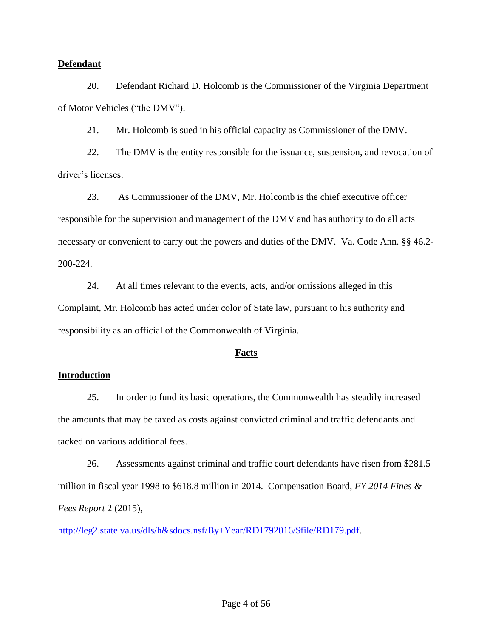### **Defendant**

20. Defendant Richard D. Holcomb is the Commissioner of the Virginia Department of Motor Vehicles ("the DMV").

21. Mr. Holcomb is sued in his official capacity as Commissioner of the DMV.

22. The DMV is the entity responsible for the issuance, suspension, and revocation of driver's licenses.

23. As Commissioner of the DMV, Mr. Holcomb is the chief executive officer responsible for the supervision and management of the DMV and has authority to do all acts necessary or convenient to carry out the powers and duties of the DMV. Va. Code Ann. §§ 46.2- 200-224*.*

24. At all times relevant to the events, acts, and/or omissions alleged in this Complaint, Mr. Holcomb has acted under color of State law, pursuant to his authority and responsibility as an official of the Commonwealth of Virginia.

### **Facts**

### **Introduction**

25. In order to fund its basic operations, the Commonwealth has steadily increased the amounts that may be taxed as costs against convicted criminal and traffic defendants and tacked on various additional fees.

26. Assessments against criminal and traffic court defendants have risen from \$281.5 million in fiscal year 1998 to \$618.8 million in 2014. Compensation Board, *FY 2014 Fines & Fees Report* 2 (2015),

[http://leg2.state.va.us/dls/h&sdocs.nsf/By+Year/RD1792016/\\$file/RD179.pdf.](http://leg2.state.va.us/dls/h&sdocs.nsf/By+Year/RD1792016/$file/RD179.pdf)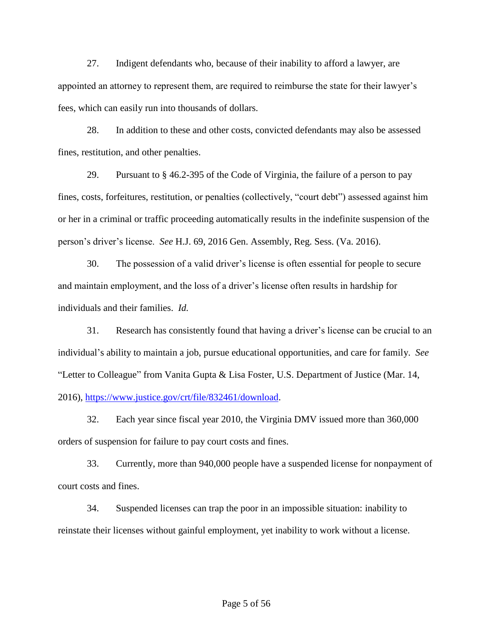27. Indigent defendants who, because of their inability to afford a lawyer, are appointed an attorney to represent them, are required to reimburse the state for their lawyer's fees, which can easily run into thousands of dollars.

28. In addition to these and other costs, convicted defendants may also be assessed fines, restitution, and other penalties.

29. Pursuant to § 46.2-395 of the Code of Virginia, the failure of a person to pay fines, costs, forfeitures, restitution, or penalties (collectively, "court debt") assessed against him or her in a criminal or traffic proceeding automatically results in the indefinite suspension of the person's driver's license. *See* H.J. 69, 2016 Gen. Assembly, Reg. Sess. (Va. 2016).

30. The possession of a valid driver's license is often essential for people to secure and maintain employment, and the loss of a driver's license often results in hardship for individuals and their families. *Id.*

31. Research has consistently found that having a driver's license can be crucial to an individual's ability to maintain a job, pursue educational opportunities, and care for family. *See* "Letter to Colleague" from Vanita Gupta & Lisa Foster, U.S. Department of Justice (Mar. 14, 2016), [https://www.justice.gov/crt/file/832461/download.](https://www.justice.gov/crt/file/832461/download)

32. Each year since fiscal year 2010, the Virginia DMV issued more than 360,000 orders of suspension for failure to pay court costs and fines.

33. Currently, more than 940,000 people have a suspended license for nonpayment of court costs and fines.

34. Suspended licenses can trap the poor in an impossible situation: inability to reinstate their licenses without gainful employment, yet inability to work without a license.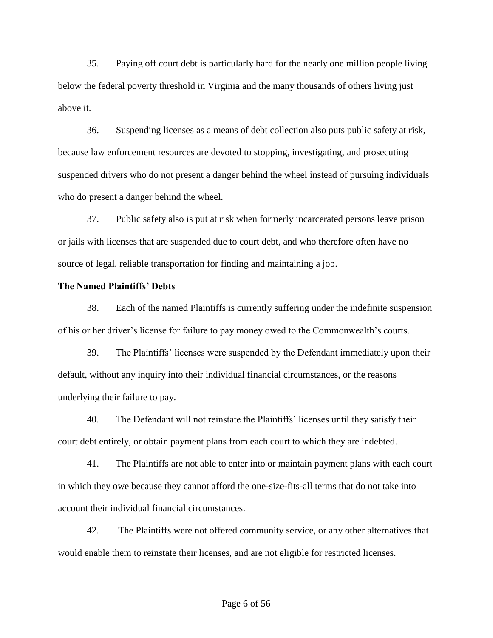35. Paying off court debt is particularly hard for the nearly one million people living below the federal poverty threshold in Virginia and the many thousands of others living just above it.

36. Suspending licenses as a means of debt collection also puts public safety at risk, because law enforcement resources are devoted to stopping, investigating, and prosecuting suspended drivers who do not present a danger behind the wheel instead of pursuing individuals who do present a danger behind the wheel.

37. Public safety also is put at risk when formerly incarcerated persons leave prison or jails with licenses that are suspended due to court debt, and who therefore often have no source of legal, reliable transportation for finding and maintaining a job.

### **The Named Plaintiffs' Debts**

38. Each of the named Plaintiffs is currently suffering under the indefinite suspension of his or her driver's license for failure to pay money owed to the Commonwealth's courts.

39. The Plaintiffs' licenses were suspended by the Defendant immediately upon their default, without any inquiry into their individual financial circumstances, or the reasons underlying their failure to pay.

40. The Defendant will not reinstate the Plaintiffs' licenses until they satisfy their court debt entirely, or obtain payment plans from each court to which they are indebted.

41. The Plaintiffs are not able to enter into or maintain payment plans with each court in which they owe because they cannot afford the one-size-fits-all terms that do not take into account their individual financial circumstances.

42. The Plaintiffs were not offered community service, or any other alternatives that would enable them to reinstate their licenses, and are not eligible for restricted licenses.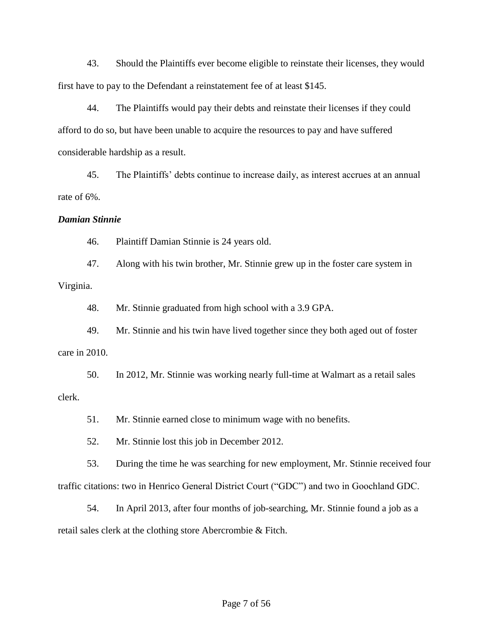43. Should the Plaintiffs ever become eligible to reinstate their licenses, they would first have to pay to the Defendant a reinstatement fee of at least \$145.

44. The Plaintiffs would pay their debts and reinstate their licenses if they could afford to do so, but have been unable to acquire the resources to pay and have suffered considerable hardship as a result.

45. The Plaintiffs' debts continue to increase daily, as interest accrues at an annual rate of 6%.

#### *Damian Stinnie*

46. Plaintiff Damian Stinnie is 24 years old.

47. Along with his twin brother, Mr. Stinnie grew up in the foster care system in Virginia.

48. Mr. Stinnie graduated from high school with a 3.9 GPA.

49. Mr. Stinnie and his twin have lived together since they both aged out of foster care in 2010.

50. In 2012, Mr. Stinnie was working nearly full-time at Walmart as a retail sales clerk.

51. Mr. Stinnie earned close to minimum wage with no benefits.

52. Mr. Stinnie lost this job in December 2012.

53. During the time he was searching for new employment, Mr. Stinnie received four traffic citations: two in Henrico General District Court ("GDC") and two in Goochland GDC.

54. In April 2013, after four months of job-searching, Mr. Stinnie found a job as a retail sales clerk at the clothing store Abercrombie & Fitch.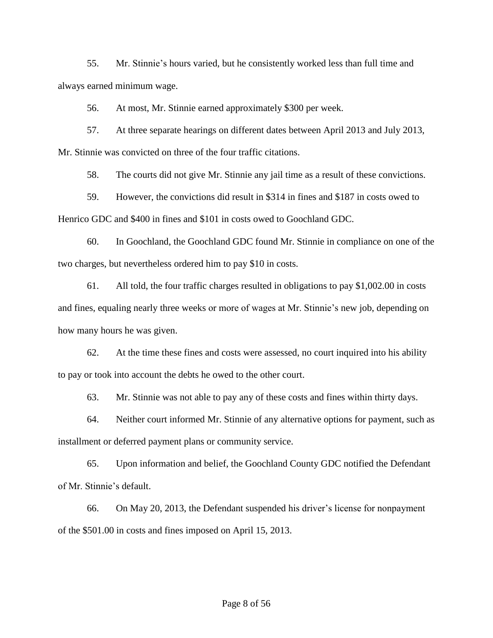55. Mr. Stinnie's hours varied, but he consistently worked less than full time and always earned minimum wage.

56. At most, Mr. Stinnie earned approximately \$300 per week.

57. At three separate hearings on different dates between April 2013 and July 2013, Mr. Stinnie was convicted on three of the four traffic citations.

58. The courts did not give Mr. Stinnie any jail time as a result of these convictions.

59. However, the convictions did result in \$314 in fines and \$187 in costs owed to Henrico GDC and \$400 in fines and \$101 in costs owed to Goochland GDC.

60. In Goochland, the Goochland GDC found Mr. Stinnie in compliance on one of the two charges, but nevertheless ordered him to pay \$10 in costs.

61. All told, the four traffic charges resulted in obligations to pay \$1,002.00 in costs and fines, equaling nearly three weeks or more of wages at Mr. Stinnie's new job, depending on how many hours he was given.

62. At the time these fines and costs were assessed, no court inquired into his ability to pay or took into account the debts he owed to the other court.

63. Mr. Stinnie was not able to pay any of these costs and fines within thirty days.

64. Neither court informed Mr. Stinnie of any alternative options for payment, such as installment or deferred payment plans or community service.

65. Upon information and belief, the Goochland County GDC notified the Defendant of Mr. Stinnie's default.

66. On May 20, 2013, the Defendant suspended his driver's license for nonpayment of the \$501.00 in costs and fines imposed on April 15, 2013.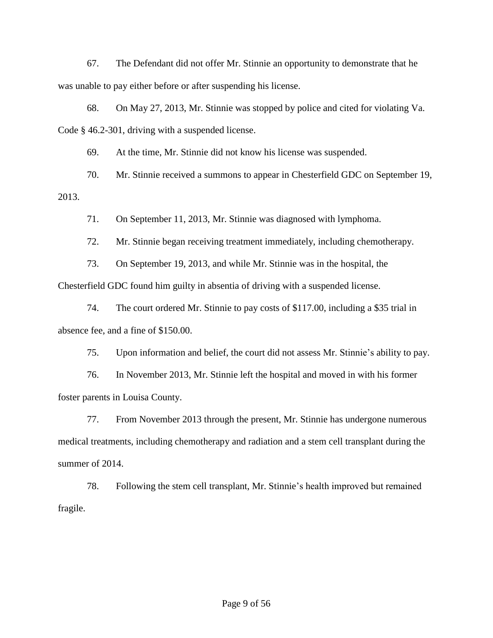67. The Defendant did not offer Mr. Stinnie an opportunity to demonstrate that he was unable to pay either before or after suspending his license.

68. On May 27, 2013, Mr. Stinnie was stopped by police and cited for violating Va. Code § 46.2-301, driving with a suspended license.

69. At the time, Mr. Stinnie did not know his license was suspended.

70. Mr. Stinnie received a summons to appear in Chesterfield GDC on September 19, 2013.

71. On September 11, 2013, Mr. Stinnie was diagnosed with lymphoma.

72. Mr. Stinnie began receiving treatment immediately, including chemotherapy.

73. On September 19, 2013, and while Mr. Stinnie was in the hospital, the

Chesterfield GDC found him guilty in absentia of driving with a suspended license.

74. The court ordered Mr. Stinnie to pay costs of \$117.00, including a \$35 trial in absence fee, and a fine of \$150.00.

75. Upon information and belief, the court did not assess Mr. Stinnie's ability to pay.

76. In November 2013, Mr. Stinnie left the hospital and moved in with his former foster parents in Louisa County.

77. From November 2013 through the present, Mr. Stinnie has undergone numerous medical treatments, including chemotherapy and radiation and a stem cell transplant during the summer of 2014.

78. Following the stem cell transplant, Mr. Stinnie's health improved but remained fragile.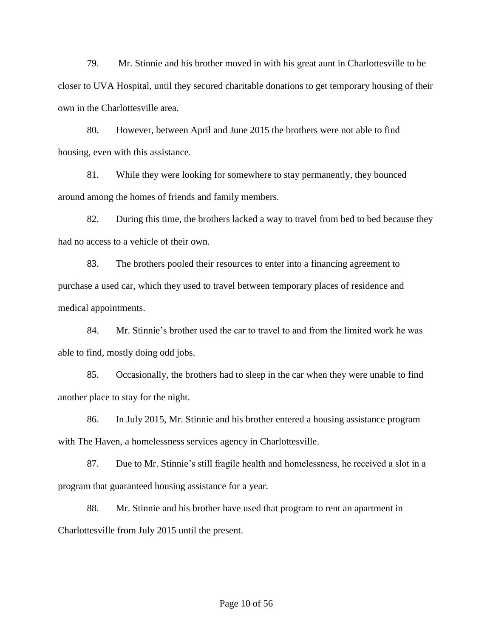79. Mr. Stinnie and his brother moved in with his great aunt in Charlottesville to be closer to UVA Hospital, until they secured charitable donations to get temporary housing of their own in the Charlottesville area.

80. However, between April and June 2015 the brothers were not able to find housing, even with this assistance.

81. While they were looking for somewhere to stay permanently, they bounced around among the homes of friends and family members.

82. During this time, the brothers lacked a way to travel from bed to bed because they had no access to a vehicle of their own.

83. The brothers pooled their resources to enter into a financing agreement to purchase a used car, which they used to travel between temporary places of residence and medical appointments.

84. Mr. Stinnie's brother used the car to travel to and from the limited work he was able to find, mostly doing odd jobs.

85. Occasionally, the brothers had to sleep in the car when they were unable to find another place to stay for the night.

86. In July 2015, Mr. Stinnie and his brother entered a housing assistance program with The Haven, a homelessness services agency in Charlottesville.

87. Due to Mr. Stinnie's still fragile health and homelessness, he received a slot in a program that guaranteed housing assistance for a year.

88. Mr. Stinnie and his brother have used that program to rent an apartment in Charlottesville from July 2015 until the present.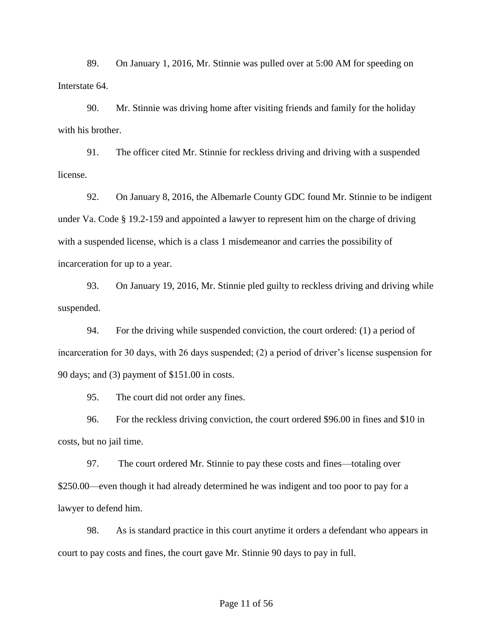89. On January 1, 2016, Mr. Stinnie was pulled over at 5:00 AM for speeding on Interstate 64.

90. Mr. Stinnie was driving home after visiting friends and family for the holiday with his brother.

91. The officer cited Mr. Stinnie for reckless driving and driving with a suspended license.

92. On January 8, 2016, the Albemarle County GDC found Mr. Stinnie to be indigent under Va. Code § 19.2-159 and appointed a lawyer to represent him on the charge of driving with a suspended license, which is a class 1 misdemeanor and carries the possibility of incarceration for up to a year.

93. On January 19, 2016, Mr. Stinnie pled guilty to reckless driving and driving while suspended.

94. For the driving while suspended conviction, the court ordered: (1) a period of incarceration for 30 days, with 26 days suspended; (2) a period of driver's license suspension for 90 days; and (3) payment of \$151.00 in costs.

95. The court did not order any fines.

96. For the reckless driving conviction, the court ordered \$96.00 in fines and \$10 in costs, but no jail time.

97. The court ordered Mr. Stinnie to pay these costs and fines—totaling over \$250.00—even though it had already determined he was indigent and too poor to pay for a lawyer to defend him.

98. As is standard practice in this court anytime it orders a defendant who appears in court to pay costs and fines, the court gave Mr. Stinnie 90 days to pay in full.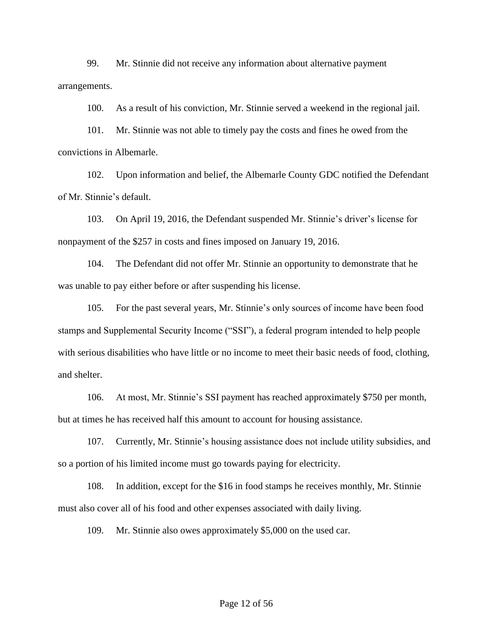99. Mr. Stinnie did not receive any information about alternative payment arrangements.

100. As a result of his conviction, Mr. Stinnie served a weekend in the regional jail.

101. Mr. Stinnie was not able to timely pay the costs and fines he owed from the convictions in Albemarle.

102. Upon information and belief, the Albemarle County GDC notified the Defendant of Mr. Stinnie's default.

103. On April 19, 2016, the Defendant suspended Mr. Stinnie's driver's license for nonpayment of the \$257 in costs and fines imposed on January 19, 2016.

104. The Defendant did not offer Mr. Stinnie an opportunity to demonstrate that he was unable to pay either before or after suspending his license.

105. For the past several years, Mr. Stinnie's only sources of income have been food stamps and Supplemental Security Income ("SSI"), a federal program intended to help people with serious disabilities who have little or no income to meet their basic needs of food, clothing, and shelter.

106. At most, Mr. Stinnie's SSI payment has reached approximately \$750 per month, but at times he has received half this amount to account for housing assistance.

107. Currently, Mr. Stinnie's housing assistance does not include utility subsidies, and so a portion of his limited income must go towards paying for electricity.

108. In addition, except for the \$16 in food stamps he receives monthly, Mr. Stinnie must also cover all of his food and other expenses associated with daily living.

109. Mr. Stinnie also owes approximately \$5,000 on the used car.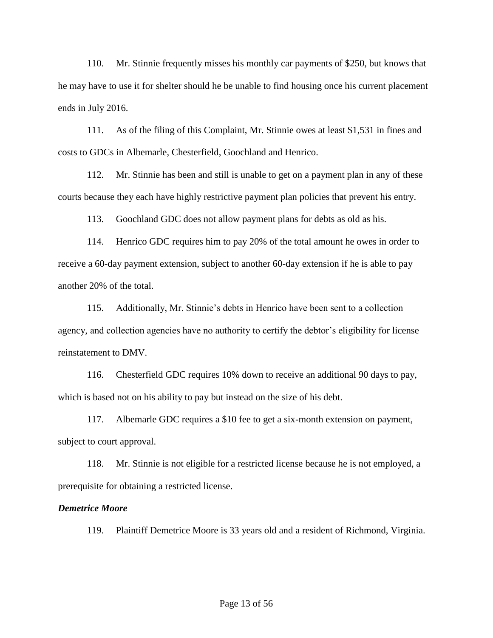110. Mr. Stinnie frequently misses his monthly car payments of \$250, but knows that he may have to use it for shelter should he be unable to find housing once his current placement ends in July 2016.

111. As of the filing of this Complaint, Mr. Stinnie owes at least \$1,531 in fines and costs to GDCs in Albemarle, Chesterfield, Goochland and Henrico.

112. Mr. Stinnie has been and still is unable to get on a payment plan in any of these courts because they each have highly restrictive payment plan policies that prevent his entry.

113. Goochland GDC does not allow payment plans for debts as old as his.

114. Henrico GDC requires him to pay 20% of the total amount he owes in order to receive a 60-day payment extension, subject to another 60-day extension if he is able to pay another 20% of the total.

115. Additionally, Mr. Stinnie's debts in Henrico have been sent to a collection agency, and collection agencies have no authority to certify the debtor's eligibility for license reinstatement to DMV.

116. Chesterfield GDC requires 10% down to receive an additional 90 days to pay, which is based not on his ability to pay but instead on the size of his debt.

117. Albemarle GDC requires a \$10 fee to get a six-month extension on payment, subject to court approval.

118. Mr. Stinnie is not eligible for a restricted license because he is not employed, a prerequisite for obtaining a restricted license.

#### *Demetrice Moore*

119. Plaintiff Demetrice Moore is 33 years old and a resident of Richmond, Virginia.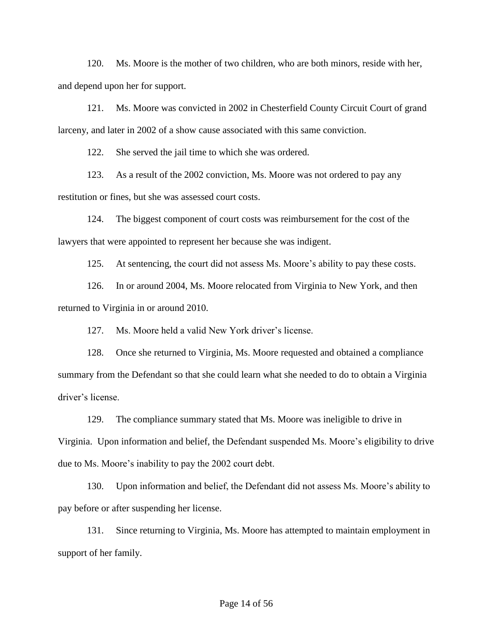120. Ms. Moore is the mother of two children, who are both minors, reside with her, and depend upon her for support.

121. Ms. Moore was convicted in 2002 in Chesterfield County Circuit Court of grand larceny, and later in 2002 of a show cause associated with this same conviction.

122. She served the jail time to which she was ordered.

123. As a result of the 2002 conviction, Ms. Moore was not ordered to pay any restitution or fines, but she was assessed court costs.

124. The biggest component of court costs was reimbursement for the cost of the lawyers that were appointed to represent her because she was indigent.

125. At sentencing, the court did not assess Ms. Moore's ability to pay these costs.

126. In or around 2004, Ms. Moore relocated from Virginia to New York, and then returned to Virginia in or around 2010.

127. Ms. Moore held a valid New York driver's license.

128. Once she returned to Virginia, Ms. Moore requested and obtained a compliance summary from the Defendant so that she could learn what she needed to do to obtain a Virginia driver's license.

129. The compliance summary stated that Ms. Moore was ineligible to drive in Virginia. Upon information and belief, the Defendant suspended Ms. Moore's eligibility to drive due to Ms. Moore's inability to pay the 2002 court debt.

130. Upon information and belief, the Defendant did not assess Ms. Moore's ability to pay before or after suspending her license.

131. Since returning to Virginia, Ms. Moore has attempted to maintain employment in support of her family.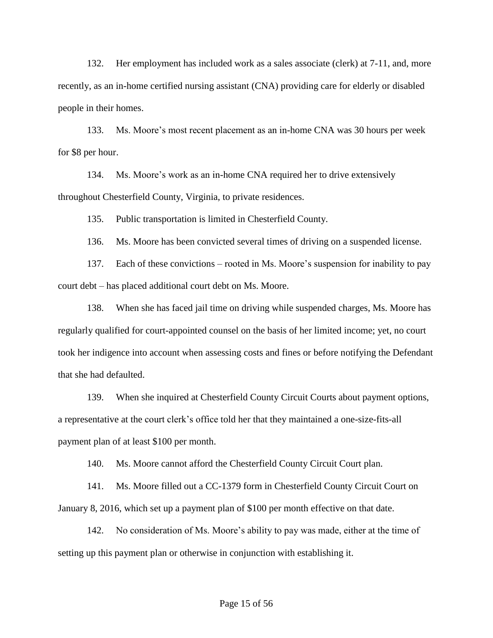132. Her employment has included work as a sales associate (clerk) at 7-11, and, more recently, as an in-home certified nursing assistant (CNA) providing care for elderly or disabled people in their homes.

133. Ms. Moore's most recent placement as an in-home CNA was 30 hours per week for \$8 per hour.

134. Ms. Moore's work as an in-home CNA required her to drive extensively throughout Chesterfield County, Virginia, to private residences.

135. Public transportation is limited in Chesterfield County.

136. Ms. Moore has been convicted several times of driving on a suspended license.

137. Each of these convictions – rooted in Ms. Moore's suspension for inability to pay court debt – has placed additional court debt on Ms. Moore.

138. When she has faced jail time on driving while suspended charges, Ms. Moore has regularly qualified for court-appointed counsel on the basis of her limited income; yet, no court took her indigence into account when assessing costs and fines or before notifying the Defendant that she had defaulted.

139. When she inquired at Chesterfield County Circuit Courts about payment options, a representative at the court clerk's office told her that they maintained a one-size-fits-all payment plan of at least \$100 per month.

140. Ms. Moore cannot afford the Chesterfield County Circuit Court plan.

141. Ms. Moore filled out a CC-1379 form in Chesterfield County Circuit Court on January 8, 2016, which set up a payment plan of \$100 per month effective on that date.

142. No consideration of Ms. Moore's ability to pay was made, either at the time of setting up this payment plan or otherwise in conjunction with establishing it.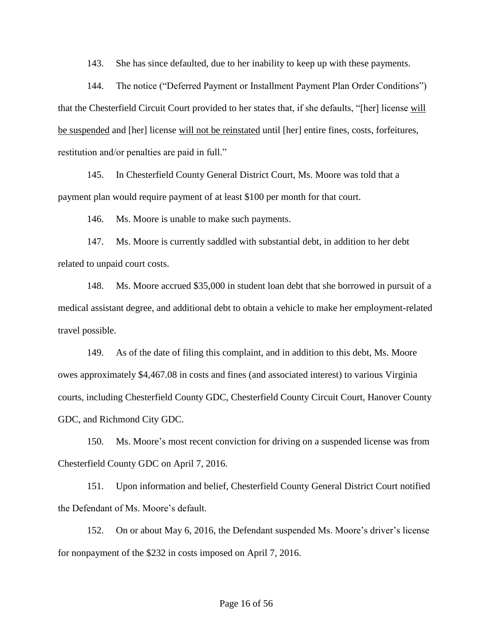143. She has since defaulted, due to her inability to keep up with these payments.

144. The notice ("Deferred Payment or Installment Payment Plan Order Conditions") that the Chesterfield Circuit Court provided to her states that, if she defaults, "[her] license will be suspended and [her] license will not be reinstated until [her] entire fines, costs, forfeitures, restitution and/or penalties are paid in full."

145. In Chesterfield County General District Court, Ms. Moore was told that a payment plan would require payment of at least \$100 per month for that court.

146. Ms. Moore is unable to make such payments.

147. Ms. Moore is currently saddled with substantial debt, in addition to her debt related to unpaid court costs.

148. Ms. Moore accrued \$35,000 in student loan debt that she borrowed in pursuit of a medical assistant degree, and additional debt to obtain a vehicle to make her employment-related travel possible.

149. As of the date of filing this complaint, and in addition to this debt, Ms. Moore owes approximately \$4,467.08 in costs and fines (and associated interest) to various Virginia courts, including Chesterfield County GDC, Chesterfield County Circuit Court, Hanover County GDC, and Richmond City GDC.

150. Ms. Moore's most recent conviction for driving on a suspended license was from Chesterfield County GDC on April 7, 2016.

151. Upon information and belief, Chesterfield County General District Court notified the Defendant of Ms. Moore's default.

152. On or about May 6, 2016, the Defendant suspended Ms. Moore's driver's license for nonpayment of the \$232 in costs imposed on April 7, 2016.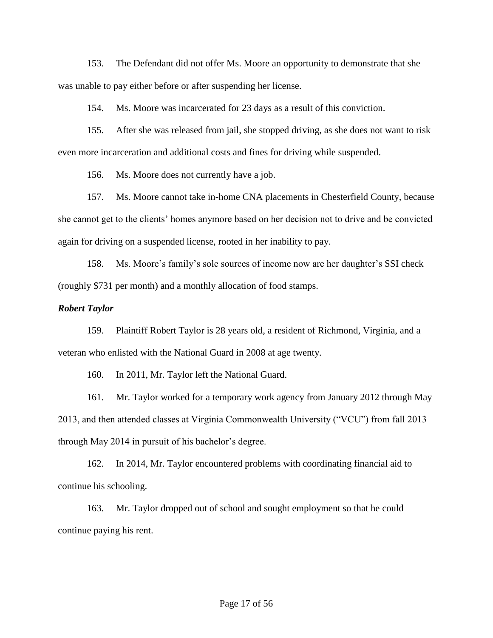153. The Defendant did not offer Ms. Moore an opportunity to demonstrate that she was unable to pay either before or after suspending her license.

154. Ms. Moore was incarcerated for 23 days as a result of this conviction.

155. After she was released from jail, she stopped driving, as she does not want to risk even more incarceration and additional costs and fines for driving while suspended.

156. Ms. Moore does not currently have a job.

157. Ms. Moore cannot take in-home CNA placements in Chesterfield County, because she cannot get to the clients' homes anymore based on her decision not to drive and be convicted again for driving on a suspended license, rooted in her inability to pay.

158. Ms. Moore's family's sole sources of income now are her daughter's SSI check (roughly \$731 per month) and a monthly allocation of food stamps.

### *Robert Taylor*

159. Plaintiff Robert Taylor is 28 years old, a resident of Richmond, Virginia, and a veteran who enlisted with the National Guard in 2008 at age twenty.

160. In 2011, Mr. Taylor left the National Guard.

161. Mr. Taylor worked for a temporary work agency from January 2012 through May 2013, and then attended classes at Virginia Commonwealth University ("VCU") from fall 2013 through May 2014 in pursuit of his bachelor's degree.

162. In 2014, Mr. Taylor encountered problems with coordinating financial aid to continue his schooling.

163. Mr. Taylor dropped out of school and sought employment so that he could continue paying his rent.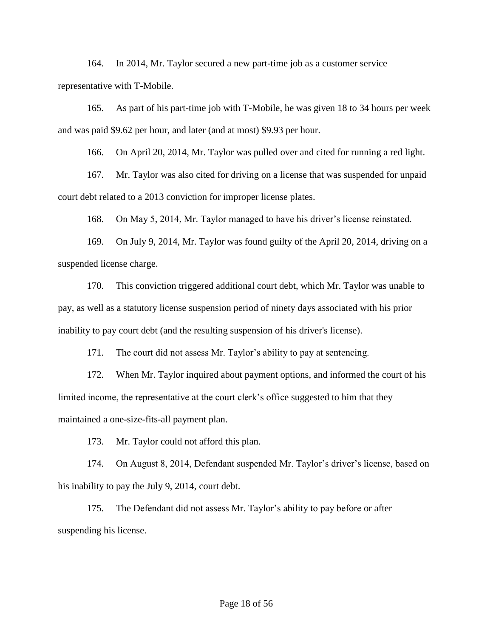164. In 2014, Mr. Taylor secured a new part-time job as a customer service representative with T-Mobile.

165. As part of his part-time job with T-Mobile, he was given 18 to 34 hours per week and was paid \$9.62 per hour, and later (and at most) \$9.93 per hour.

166. On April 20, 2014, Mr. Taylor was pulled over and cited for running a red light.

167. Mr. Taylor was also cited for driving on a license that was suspended for unpaid court debt related to a 2013 conviction for improper license plates.

168. On May 5, 2014, Mr. Taylor managed to have his driver's license reinstated.

169. On July 9, 2014, Mr. Taylor was found guilty of the April 20, 2014, driving on a suspended license charge.

170. This conviction triggered additional court debt, which Mr. Taylor was unable to pay, as well as a statutory license suspension period of ninety days associated with his prior inability to pay court debt (and the resulting suspension of his driver's license).

171. The court did not assess Mr. Taylor's ability to pay at sentencing.

172. When Mr. Taylor inquired about payment options, and informed the court of his limited income, the representative at the court clerk's office suggested to him that they maintained a one-size-fits-all payment plan.

173. Mr. Taylor could not afford this plan.

174. On August 8, 2014, Defendant suspended Mr. Taylor's driver's license, based on his inability to pay the July 9, 2014, court debt.

175. The Defendant did not assess Mr. Taylor's ability to pay before or after suspending his license.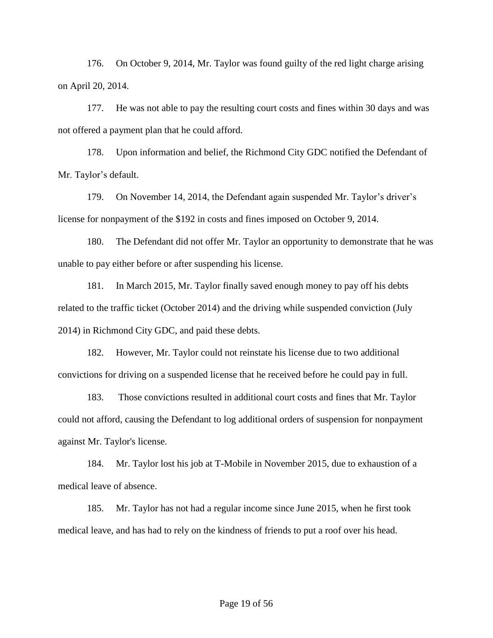176. On October 9, 2014, Mr. Taylor was found guilty of the red light charge arising on April 20, 2014.

177. He was not able to pay the resulting court costs and fines within 30 days and was not offered a payment plan that he could afford.

178. Upon information and belief, the Richmond City GDC notified the Defendant of Mr. Taylor's default.

179. On November 14, 2014, the Defendant again suspended Mr. Taylor's driver's license for nonpayment of the \$192 in costs and fines imposed on October 9, 2014.

180. The Defendant did not offer Mr. Taylor an opportunity to demonstrate that he was unable to pay either before or after suspending his license.

181. In March 2015, Mr. Taylor finally saved enough money to pay off his debts related to the traffic ticket (October 2014) and the driving while suspended conviction (July 2014) in Richmond City GDC, and paid these debts.

182. However, Mr. Taylor could not reinstate his license due to two additional convictions for driving on a suspended license that he received before he could pay in full.

183. Those convictions resulted in additional court costs and fines that Mr. Taylor could not afford, causing the Defendant to log additional orders of suspension for nonpayment against Mr. Taylor's license.

184. Mr. Taylor lost his job at T-Mobile in November 2015, due to exhaustion of a medical leave of absence.

185. Mr. Taylor has not had a regular income since June 2015, when he first took medical leave, and has had to rely on the kindness of friends to put a roof over his head.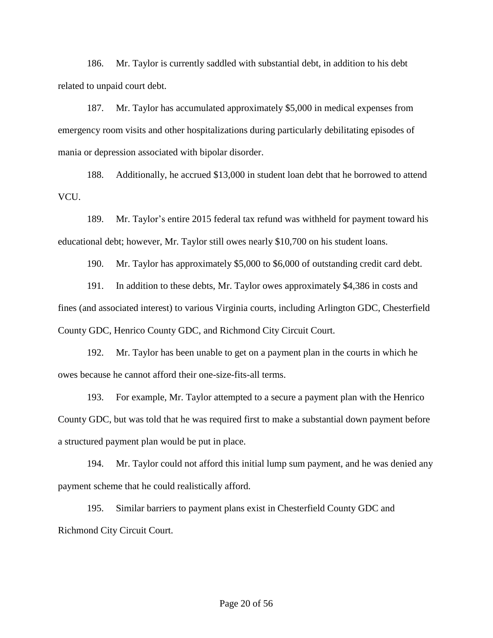186. Mr. Taylor is currently saddled with substantial debt, in addition to his debt related to unpaid court debt.

187. Mr. Taylor has accumulated approximately \$5,000 in medical expenses from emergency room visits and other hospitalizations during particularly debilitating episodes of mania or depression associated with bipolar disorder.

188. Additionally, he accrued \$13,000 in student loan debt that he borrowed to attend VCU.

189. Mr. Taylor's entire 2015 federal tax refund was withheld for payment toward his educational debt; however, Mr. Taylor still owes nearly \$10,700 on his student loans.

190. Mr. Taylor has approximately \$5,000 to \$6,000 of outstanding credit card debt.

191. In addition to these debts, Mr. Taylor owes approximately \$4,386 in costs and fines (and associated interest) to various Virginia courts, including Arlington GDC, Chesterfield County GDC, Henrico County GDC, and Richmond City Circuit Court.

192. Mr. Taylor has been unable to get on a payment plan in the courts in which he owes because he cannot afford their one-size-fits-all terms.

193. For example, Mr. Taylor attempted to a secure a payment plan with the Henrico County GDC, but was told that he was required first to make a substantial down payment before a structured payment plan would be put in place.

194. Mr. Taylor could not afford this initial lump sum payment, and he was denied any payment scheme that he could realistically afford.

195. Similar barriers to payment plans exist in Chesterfield County GDC and Richmond City Circuit Court.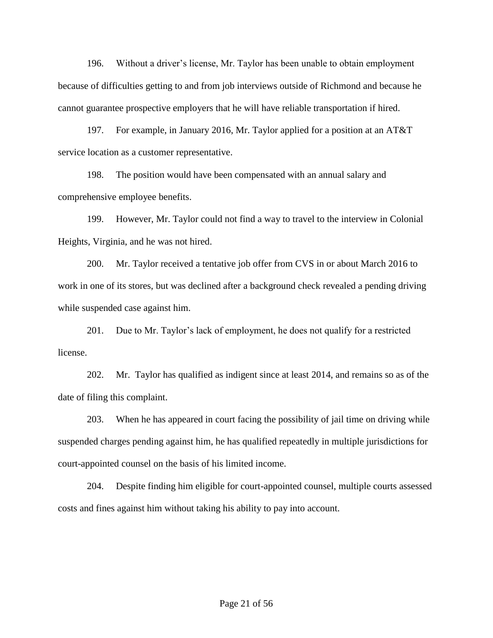196. Without a driver's license, Mr. Taylor has been unable to obtain employment because of difficulties getting to and from job interviews outside of Richmond and because he cannot guarantee prospective employers that he will have reliable transportation if hired.

197. For example, in January 2016, Mr. Taylor applied for a position at an AT&T service location as a customer representative.

198. The position would have been compensated with an annual salary and comprehensive employee benefits.

199. However, Mr. Taylor could not find a way to travel to the interview in Colonial Heights, Virginia, and he was not hired.

200. Mr. Taylor received a tentative job offer from CVS in or about March 2016 to work in one of its stores, but was declined after a background check revealed a pending driving while suspended case against him.

201. Due to Mr. Taylor's lack of employment, he does not qualify for a restricted license.

202. Mr. Taylor has qualified as indigent since at least 2014, and remains so as of the date of filing this complaint.

203. When he has appeared in court facing the possibility of jail time on driving while suspended charges pending against him, he has qualified repeatedly in multiple jurisdictions for court-appointed counsel on the basis of his limited income.

204. Despite finding him eligible for court-appointed counsel, multiple courts assessed costs and fines against him without taking his ability to pay into account.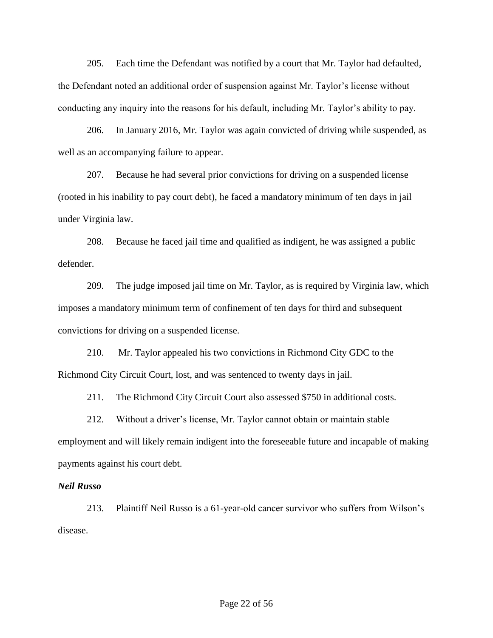205. Each time the Defendant was notified by a court that Mr. Taylor had defaulted, the Defendant noted an additional order of suspension against Mr. Taylor's license without conducting any inquiry into the reasons for his default, including Mr. Taylor's ability to pay.

206. In January 2016, Mr. Taylor was again convicted of driving while suspended, as well as an accompanying failure to appear.

207. Because he had several prior convictions for driving on a suspended license (rooted in his inability to pay court debt), he faced a mandatory minimum of ten days in jail under Virginia law.

208. Because he faced jail time and qualified as indigent, he was assigned a public defender.

209. The judge imposed jail time on Mr. Taylor, as is required by Virginia law, which imposes a mandatory minimum term of confinement of ten days for third and subsequent convictions for driving on a suspended license.

210. Mr. Taylor appealed his two convictions in Richmond City GDC to the Richmond City Circuit Court, lost, and was sentenced to twenty days in jail.

211. The Richmond City Circuit Court also assessed \$750 in additional costs.

212. Without a driver's license, Mr. Taylor cannot obtain or maintain stable employment and will likely remain indigent into the foreseeable future and incapable of making payments against his court debt.

### *Neil Russo*

213. Plaintiff Neil Russo is a 61-year-old cancer survivor who suffers from Wilson's disease.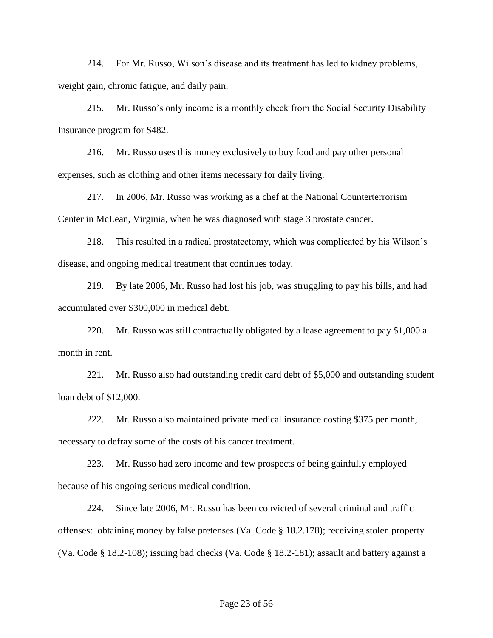214. For Mr. Russo, Wilson's disease and its treatment has led to kidney problems, weight gain, chronic fatigue, and daily pain.

215. Mr. Russo's only income is a monthly check from the Social Security Disability Insurance program for \$482.

216. Mr. Russo uses this money exclusively to buy food and pay other personal expenses, such as clothing and other items necessary for daily living.

217. In 2006, Mr. Russo was working as a chef at the National Counterterrorism Center in McLean, Virginia, when he was diagnosed with stage 3 prostate cancer.

218. This resulted in a radical prostatectomy, which was complicated by his Wilson's disease, and ongoing medical treatment that continues today.

219. By late 2006, Mr. Russo had lost his job, was struggling to pay his bills, and had accumulated over \$300,000 in medical debt.

220. Mr. Russo was still contractually obligated by a lease agreement to pay \$1,000 a month in rent.

221. Mr. Russo also had outstanding credit card debt of \$5,000 and outstanding student loan debt of \$12,000.

222. Mr. Russo also maintained private medical insurance costing \$375 per month, necessary to defray some of the costs of his cancer treatment.

223. Mr. Russo had zero income and few prospects of being gainfully employed because of his ongoing serious medical condition.

224. Since late 2006, Mr. Russo has been convicted of several criminal and traffic offenses: obtaining money by false pretenses (Va. Code § 18.2.178); receiving stolen property (Va. Code § 18.2-108); issuing bad checks (Va. Code § 18.2-181); assault and battery against a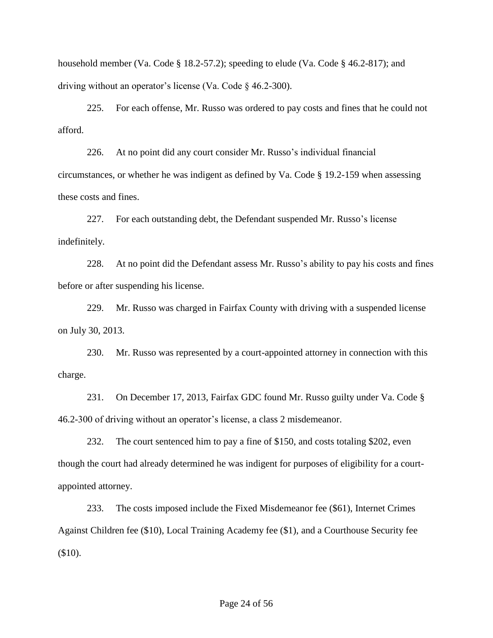household member (Va. Code § 18.2-57.2); speeding to elude (Va. Code § 46.2-817); and driving without an operator's license (Va. Code § 46.2-300).

225. For each offense, Mr. Russo was ordered to pay costs and fines that he could not afford.

226. At no point did any court consider Mr. Russo's individual financial circumstances, or whether he was indigent as defined by Va. Code § 19.2-159 when assessing these costs and fines.

227. For each outstanding debt, the Defendant suspended Mr. Russo's license indefinitely.

228. At no point did the Defendant assess Mr. Russo's ability to pay his costs and fines before or after suspending his license.

229. Mr. Russo was charged in Fairfax County with driving with a suspended license on July 30, 2013.

230. Mr. Russo was represented by a court-appointed attorney in connection with this charge.

231. On December 17, 2013, Fairfax GDC found Mr. Russo guilty under Va. Code § 46.2-300 of driving without an operator's license, a class 2 misdemeanor.

232. The court sentenced him to pay a fine of \$150, and costs totaling \$202, even though the court had already determined he was indigent for purposes of eligibility for a courtappointed attorney.

233. The costs imposed include the Fixed Misdemeanor fee (\$61), Internet Crimes Against Children fee (\$10), Local Training Academy fee (\$1), and a Courthouse Security fee (\$10).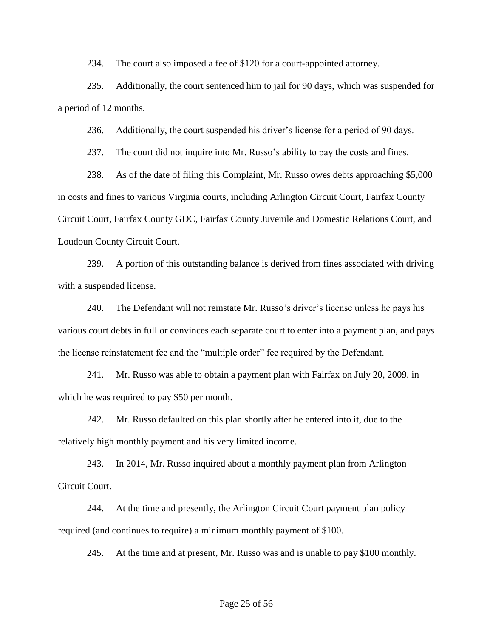234. The court also imposed a fee of \$120 for a court-appointed attorney.

235. Additionally, the court sentenced him to jail for 90 days, which was suspended for a period of 12 months.

236. Additionally, the court suspended his driver's license for a period of 90 days.

237. The court did not inquire into Mr. Russo's ability to pay the costs and fines.

238. As of the date of filing this Complaint, Mr. Russo owes debts approaching \$5,000 in costs and fines to various Virginia courts, including Arlington Circuit Court, Fairfax County Circuit Court, Fairfax County GDC, Fairfax County Juvenile and Domestic Relations Court, and Loudoun County Circuit Court.

239. A portion of this outstanding balance is derived from fines associated with driving with a suspended license.

240. The Defendant will not reinstate Mr. Russo's driver's license unless he pays his various court debts in full or convinces each separate court to enter into a payment plan, and pays the license reinstatement fee and the "multiple order" fee required by the Defendant.

241. Mr. Russo was able to obtain a payment plan with Fairfax on July 20, 2009, in which he was required to pay \$50 per month.

242. Mr. Russo defaulted on this plan shortly after he entered into it, due to the relatively high monthly payment and his very limited income.

243. In 2014, Mr. Russo inquired about a monthly payment plan from Arlington Circuit Court.

244. At the time and presently, the Arlington Circuit Court payment plan policy required (and continues to require) a minimum monthly payment of \$100.

245. At the time and at present, Mr. Russo was and is unable to pay \$100 monthly.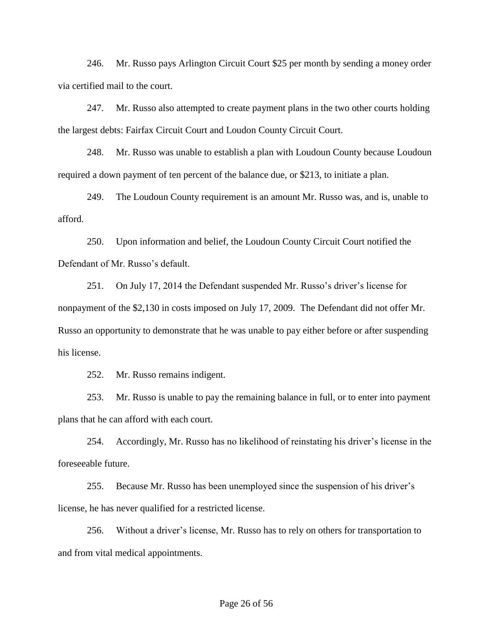246. Mr. Russo pays Arlington Circuit Court \$25 per month by sending a money order via certified mail to the court.

247. Mr. Russo also attempted to create payment plans in the two other courts holding the largest debts: Fairfax Circuit Court and Loudon County Circuit Court.

248. Mr. Russo was unable to establish a plan with Loudoun County because Loudoun required a down payment of ten percent of the balance due, or \$213, to initiate a plan.

249. The Loudoun County requirement is an amount Mr. Russo was, and is, unable to afford.

250. Upon information and belief, the Loudoun County Circuit Court notified the Defendant of Mr. Russo's default.

251. On July 17, 2014 the Defendant suspended Mr. Russo's driver's license for nonpayment of the \$2,130 in costs imposed on July 17, 2009. The Defendant did not offer Mr. Russo an opportunity to demonstrate that he was unable to pay either before or after suspending his license.

252. Mr. Russo remains indigent.

253. Mr. Russo is unable to pay the remaining balance in full, or to enter into payment plans that he can afford with each court.

254. Accordingly, Mr. Russo has no likelihood of reinstating his driver's license in the foreseeable future.

255. Because Mr. Russo has been unemployed since the suspension of his driver's license, he has never qualified for a restricted license.

256. Without a driver's license, Mr. Russo has to rely on others for transportation to and from vital medical appointments.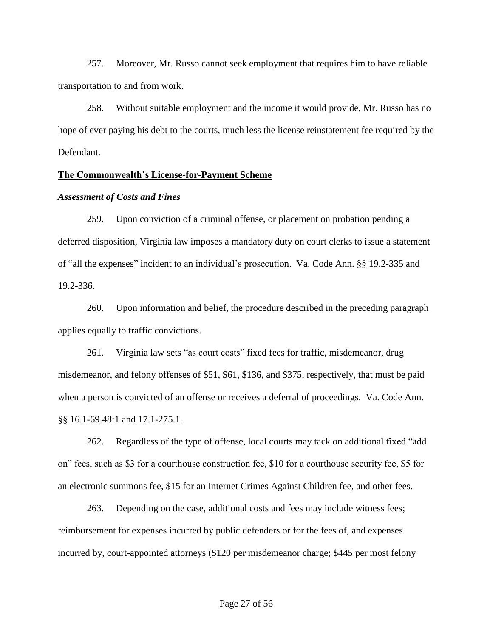257. Moreover, Mr. Russo cannot seek employment that requires him to have reliable transportation to and from work.

258. Without suitable employment and the income it would provide, Mr. Russo has no hope of ever paying his debt to the courts, much less the license reinstatement fee required by the Defendant.

### **The Commonwealth's License-for-Payment Scheme**

#### *Assessment of Costs and Fines*

259. Upon conviction of a criminal offense, or placement on probation pending a deferred disposition, Virginia law imposes a mandatory duty on court clerks to issue a statement of "all the expenses" incident to an individual's prosecution. Va. Code Ann. §§ 19.2-335 and 19.2-336.

260. Upon information and belief, the procedure described in the preceding paragraph applies equally to traffic convictions.

261. Virginia law sets "as court costs" fixed fees for traffic, misdemeanor, drug misdemeanor, and felony offenses of \$51, \$61, \$136, and \$375, respectively, that must be paid when a person is convicted of an offense or receives a deferral of proceedings. Va. Code Ann. §§ 16.1-69.48:1 and 17.1-275.1.

262. Regardless of the type of offense, local courts may tack on additional fixed "add on" fees, such as \$3 for a courthouse construction fee, \$10 for a courthouse security fee, \$5 for an electronic summons fee, \$15 for an Internet Crimes Against Children fee, and other fees.

263. Depending on the case, additional costs and fees may include witness fees; reimbursement for expenses incurred by public defenders or for the fees of, and expenses incurred by, court-appointed attorneys (\$120 per misdemeanor charge; \$445 per most felony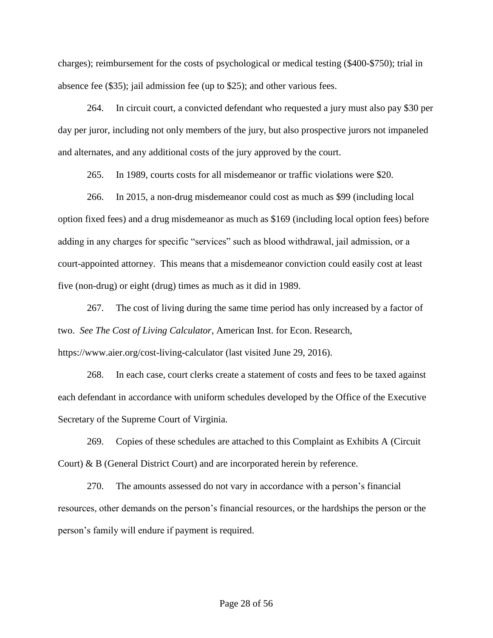charges); reimbursement for the costs of psychological or medical testing (\$400-\$750); trial in absence fee (\$35); jail admission fee (up to \$25); and other various fees.

264. In circuit court, a convicted defendant who requested a jury must also pay \$30 per day per juror, including not only members of the jury, but also prospective jurors not impaneled and alternates, and any additional costs of the jury approved by the court.

265. In 1989, courts costs for all misdemeanor or traffic violations were \$20.

266. In 2015, a non-drug misdemeanor could cost as much as \$99 (including local option fixed fees) and a drug misdemeanor as much as \$169 (including local option fees) before adding in any charges for specific "services" such as blood withdrawal, jail admission, or a court-appointed attorney. This means that a misdemeanor conviction could easily cost at least five (non-drug) or eight (drug) times as much as it did in 1989.

267. The cost of living during the same time period has only increased by a factor of two. *See The Cost of Living Calculator*, American Inst. for Econ. Research, https://www.aier.org/cost-living-calculator (last visited June 29, 2016).

268. In each case, court clerks create a statement of costs and fees to be taxed against each defendant in accordance with uniform schedules developed by the Office of the Executive Secretary of the Supreme Court of Virginia.

269. Copies of these schedules are attached to this Complaint as Exhibits A (Circuit Court) & B (General District Court) and are incorporated herein by reference.

270. The amounts assessed do not vary in accordance with a person's financial resources, other demands on the person's financial resources, or the hardships the person or the person's family will endure if payment is required.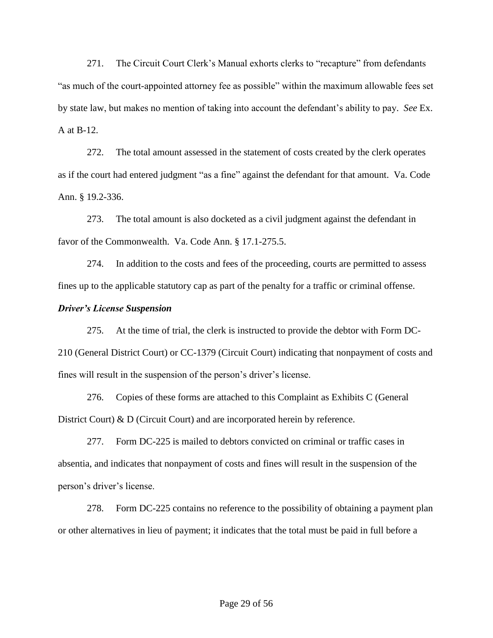271. The Circuit Court Clerk's Manual exhorts clerks to "recapture" from defendants "as much of the court-appointed attorney fee as possible" within the maximum allowable fees set by state law, but makes no mention of taking into account the defendant's ability to pay. *See* Ex. A at B-12.

272. The total amount assessed in the statement of costs created by the clerk operates as if the court had entered judgment "as a fine" against the defendant for that amount. Va. Code Ann. § 19.2-336.

273. The total amount is also docketed as a civil judgment against the defendant in favor of the Commonwealth. Va. Code Ann. § 17.1-275.5.

274. In addition to the costs and fees of the proceeding, courts are permitted to assess fines up to the applicable statutory cap as part of the penalty for a traffic or criminal offense.

### *Driver's License Suspension*

275. At the time of trial, the clerk is instructed to provide the debtor with Form DC-210 (General District Court) or CC-1379 (Circuit Court) indicating that nonpayment of costs and fines will result in the suspension of the person's driver's license.

276. Copies of these forms are attached to this Complaint as Exhibits C (General District Court) & D (Circuit Court) and are incorporated herein by reference.

277. Form DC-225 is mailed to debtors convicted on criminal or traffic cases in absentia, and indicates that nonpayment of costs and fines will result in the suspension of the person's driver's license.

278. Form DC-225 contains no reference to the possibility of obtaining a payment plan or other alternatives in lieu of payment; it indicates that the total must be paid in full before a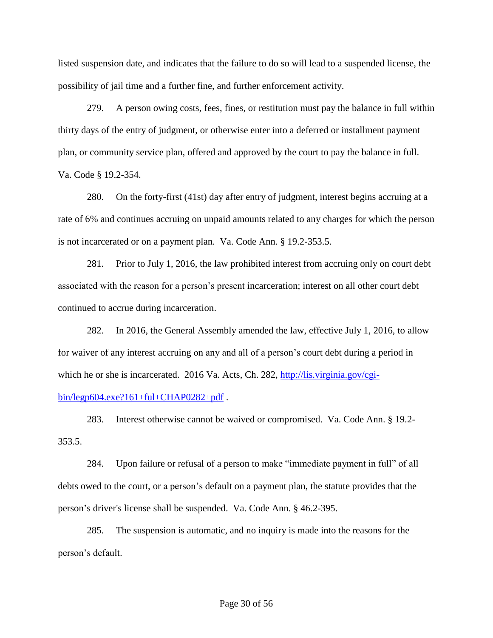listed suspension date, and indicates that the failure to do so will lead to a suspended license, the possibility of jail time and a further fine, and further enforcement activity.

279. A person owing costs, fees, fines, or restitution must pay the balance in full within thirty days of the entry of judgment, or otherwise enter into a deferred or installment payment plan, or community service plan, offered and approved by the court to pay the balance in full. Va. Code § 19.2-354.

280. On the forty-first (41st) day after entry of judgment, interest begins accruing at a rate of 6% and continues accruing on unpaid amounts related to any charges for which the person is not incarcerated or on a payment plan. Va. Code Ann. § 19.2-353.5.

281. Prior to July 1, 2016, the law prohibited interest from accruing only on court debt associated with the reason for a person's present incarceration; interest on all other court debt continued to accrue during incarceration.

282. In 2016, the General Assembly amended the law, effective July 1, 2016, to allow for waiver of any interest accruing on any and all of a person's court debt during a period in which he or she is incarcerated. 2016 Va. Acts, Ch. 282, [http://lis.virginia.gov/cgi-](http://lis.virginia.gov/cgi-bin/legp604.exe?161+ful+CHAP0282+pdf)

## [bin/legp604.exe?161+ful+CHAP0282+pdf](http://lis.virginia.gov/cgi-bin/legp604.exe?161+ful+CHAP0282+pdf) .

283. Interest otherwise cannot be waived or compromised. Va. Code Ann. § 19.2- 353.5.

284. Upon failure or refusal of a person to make "immediate payment in full" of all debts owed to the court, or a person's default on a payment plan, the statute provides that the person's driver's license shall be suspended. Va. Code Ann. § 46.2-395.

285. The suspension is automatic, and no inquiry is made into the reasons for the person's default.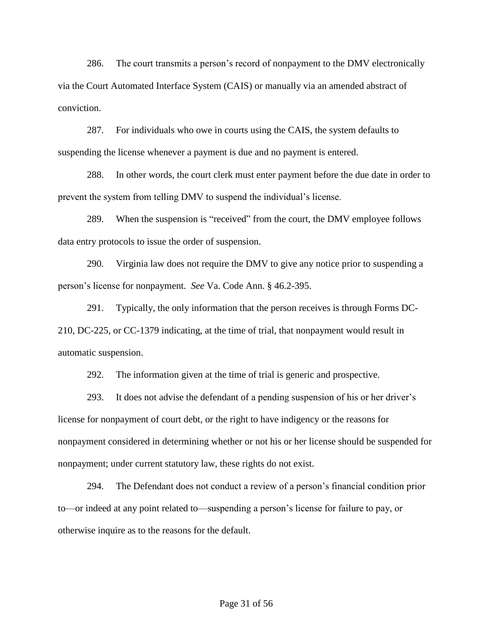286. The court transmits a person's record of nonpayment to the DMV electronically via the Court Automated Interface System (CAIS) or manually via an amended abstract of conviction.

287. For individuals who owe in courts using the CAIS, the system defaults to suspending the license whenever a payment is due and no payment is entered.

288. In other words, the court clerk must enter payment before the due date in order to prevent the system from telling DMV to suspend the individual's license.

289. When the suspension is "received" from the court, the DMV employee follows data entry protocols to issue the order of suspension.

290. Virginia law does not require the DMV to give any notice prior to suspending a person's license for nonpayment. *See* Va. Code Ann. § 46.2-395.

291. Typically, the only information that the person receives is through Forms DC-210, DC-225, or CC-1379 indicating, at the time of trial, that nonpayment would result in automatic suspension.

292. The information given at the time of trial is generic and prospective.

293. It does not advise the defendant of a pending suspension of his or her driver's license for nonpayment of court debt, or the right to have indigency or the reasons for nonpayment considered in determining whether or not his or her license should be suspended for nonpayment; under current statutory law, these rights do not exist.

294. The Defendant does not conduct a review of a person's financial condition prior to—or indeed at any point related to—suspending a person's license for failure to pay, or otherwise inquire as to the reasons for the default.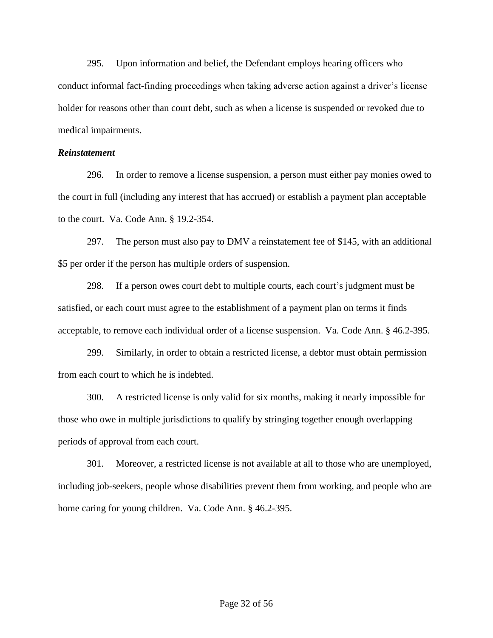295. Upon information and belief, the Defendant employs hearing officers who conduct informal fact-finding proceedings when taking adverse action against a driver's license holder for reasons other than court debt, such as when a license is suspended or revoked due to medical impairments.

### *Reinstatement*

296. In order to remove a license suspension, a person must either pay monies owed to the court in full (including any interest that has accrued) or establish a payment plan acceptable to the court. Va. Code Ann. § 19.2-354.

297. The person must also pay to DMV a reinstatement fee of \$145, with an additional \$5 per order if the person has multiple orders of suspension.

298. If a person owes court debt to multiple courts, each court's judgment must be satisfied, or each court must agree to the establishment of a payment plan on terms it finds acceptable, to remove each individual order of a license suspension. Va. Code Ann. § 46.2-395.

299. Similarly, in order to obtain a restricted license, a debtor must obtain permission from each court to which he is indebted.

300. A restricted license is only valid for six months, making it nearly impossible for those who owe in multiple jurisdictions to qualify by stringing together enough overlapping periods of approval from each court.

301. Moreover, a restricted license is not available at all to those who are unemployed, including job-seekers, people whose disabilities prevent them from working, and people who are home caring for young children. Va. Code Ann. § 46.2-395.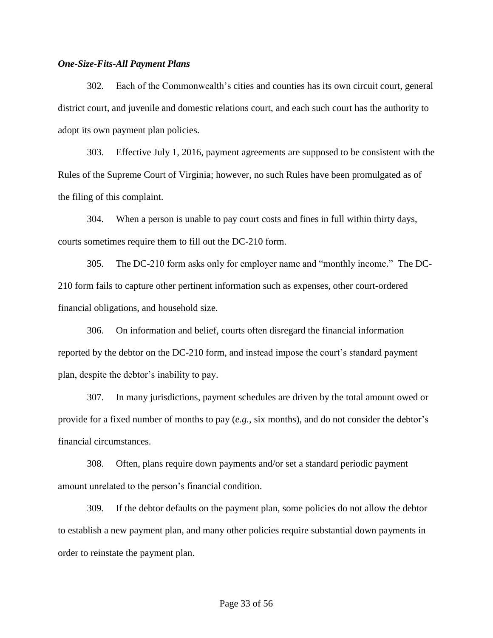#### *One-Size-Fits-All Payment Plans*

302. Each of the Commonwealth's cities and counties has its own circuit court, general district court, and juvenile and domestic relations court, and each such court has the authority to adopt its own payment plan policies.

303. Effective July 1, 2016, payment agreements are supposed to be consistent with the Rules of the Supreme Court of Virginia; however, no such Rules have been promulgated as of the filing of this complaint.

304. When a person is unable to pay court costs and fines in full within thirty days, courts sometimes require them to fill out the DC-210 form.

305. The DC-210 form asks only for employer name and "monthly income." The DC-210 form fails to capture other pertinent information such as expenses, other court-ordered financial obligations, and household size.

306. On information and belief, courts often disregard the financial information reported by the debtor on the DC-210 form, and instead impose the court's standard payment plan, despite the debtor's inability to pay.

307. In many jurisdictions, payment schedules are driven by the total amount owed or provide for a fixed number of months to pay (*e.g.,* six months), and do not consider the debtor's financial circumstances.

308. Often, plans require down payments and/or set a standard periodic payment amount unrelated to the person's financial condition.

309. If the debtor defaults on the payment plan, some policies do not allow the debtor to establish a new payment plan, and many other policies require substantial down payments in order to reinstate the payment plan.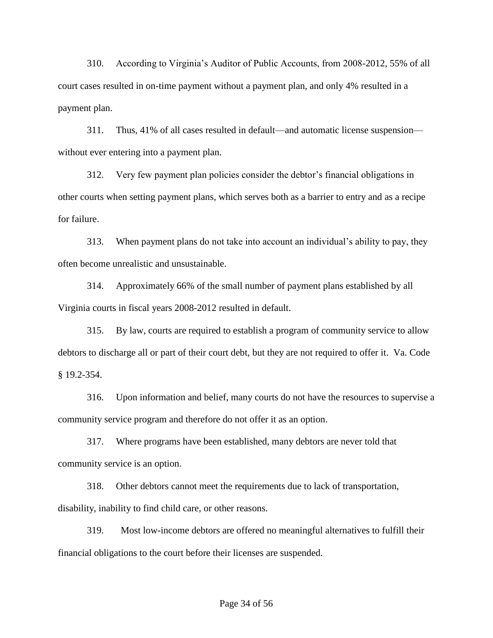310. According to Virginia's Auditor of Public Accounts, from 2008-2012, 55% of all court cases resulted in on-time payment without a payment plan, and only 4% resulted in a payment plan.

311. Thus, 41% of all cases resulted in default—and automatic license suspension without ever entering into a payment plan.

312. Very few payment plan policies consider the debtor's financial obligations in other courts when setting payment plans, which serves both as a barrier to entry and as a recipe for failure.

313. When payment plans do not take into account an individual's ability to pay, they often become unrealistic and unsustainable.

314. Approximately 66% of the small number of payment plans established by all Virginia courts in fiscal years 2008-2012 resulted in default.

315. By law, courts are required to establish a program of community service to allow debtors to discharge all or part of their court debt, but they are not required to offer it. Va. Code § 19.2-354.

316. Upon information and belief, many courts do not have the resources to supervise a community service program and therefore do not offer it as an option.

317. Where programs have been established, many debtors are never told that community service is an option.

318. Other debtors cannot meet the requirements due to lack of transportation, disability, inability to find child care, or other reasons.

319. Most low-income debtors are offered no meaningful alternatives to fulfill their financial obligations to the court before their licenses are suspended.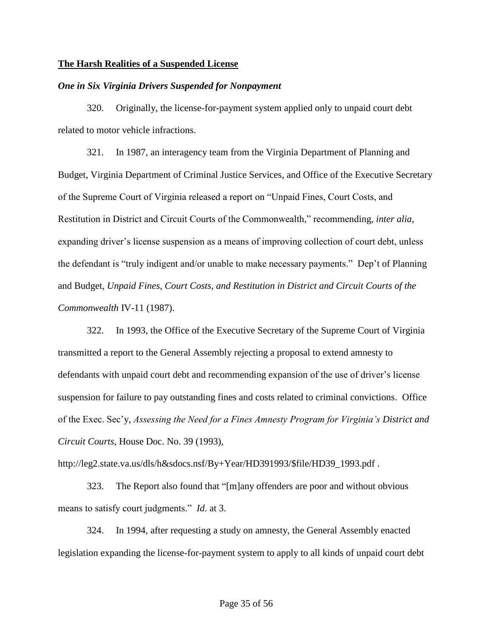### **The Harsh Realities of a Suspended License**

#### *One in Six Virginia Drivers Suspended for Nonpayment*

320. Originally, the license-for-payment system applied only to unpaid court debt related to motor vehicle infractions.

321. In 1987, an interagency team from the Virginia Department of Planning and Budget, Virginia Department of Criminal Justice Services, and Office of the Executive Secretary of the Supreme Court of Virginia released a report on "Unpaid Fines, Court Costs, and Restitution in District and Circuit Courts of the Commonwealth," recommending, *inter alia*, expanding driver's license suspension as a means of improving collection of court debt, unless the defendant is "truly indigent and/or unable to make necessary payments." Dep't of Planning and Budget, *Unpaid Fines, Court Costs, and Restitution in District and Circuit Courts of the Commonwealth* IV-11 (1987).

322. In 1993, the Office of the Executive Secretary of the Supreme Court of Virginia transmitted a report to the General Assembly rejecting a proposal to extend amnesty to defendants with unpaid court debt and recommending expansion of the use of driver's license suspension for failure to pay outstanding fines and costs related to criminal convictions. Office of the Exec. Sec'y, *Assessing the Need for a Fines Amnesty Program for Virginia's District and Circuit Courts*, House Doc. No. 39 (1993),

http://leg2.state.va.us/dls/h&sdocs.nsf/By+Year/HD391993/\$file/HD39\_1993.pdf .

323. The Report also found that "[m]any offenders are poor and without obvious means to satisfy court judgments." *Id.* at 3.

324. In 1994, after requesting a study on amnesty, the General Assembly enacted legislation expanding the license-for-payment system to apply to all kinds of unpaid court debt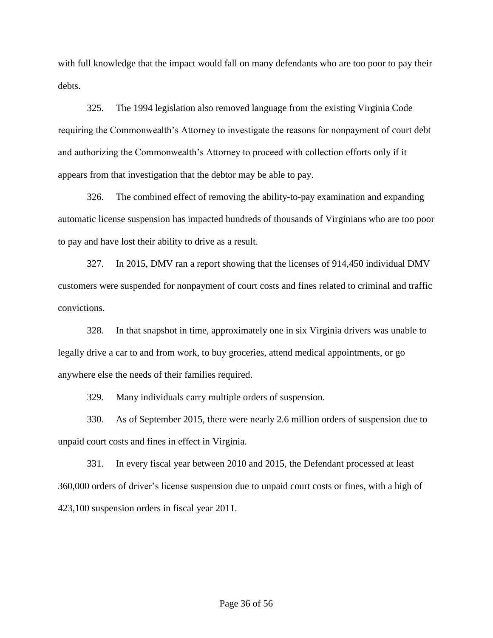with full knowledge that the impact would fall on many defendants who are too poor to pay their debts.

325. The 1994 legislation also removed language from the existing Virginia Code requiring the Commonwealth's Attorney to investigate the reasons for nonpayment of court debt and authorizing the Commonwealth's Attorney to proceed with collection efforts only if it appears from that investigation that the debtor may be able to pay.

326. The combined effect of removing the ability-to-pay examination and expanding automatic license suspension has impacted hundreds of thousands of Virginians who are too poor to pay and have lost their ability to drive as a result.

327. In 2015, DMV ran a report showing that the licenses of 914,450 individual DMV customers were suspended for nonpayment of court costs and fines related to criminal and traffic convictions.

328. In that snapshot in time, approximately one in six Virginia drivers was unable to legally drive a car to and from work, to buy groceries, attend medical appointments, or go anywhere else the needs of their families required.

329. Many individuals carry multiple orders of suspension.

330. As of September 2015, there were nearly 2.6 million orders of suspension due to unpaid court costs and fines in effect in Virginia.

331. In every fiscal year between 2010 and 2015, the Defendant processed at least 360,000 orders of driver's license suspension due to unpaid court costs or fines, with a high of 423,100 suspension orders in fiscal year 2011.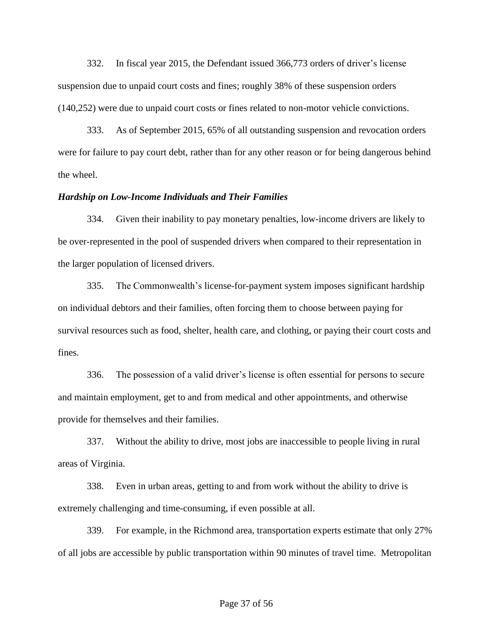332. In fiscal year 2015, the Defendant issued 366,773 orders of driver's license suspension due to unpaid court costs and fines; roughly 38% of these suspension orders (140,252) were due to unpaid court costs or fines related to non-motor vehicle convictions.

333. As of September 2015, 65% of all outstanding suspension and revocation orders were for failure to pay court debt, rather than for any other reason or for being dangerous behind the wheel.

#### *Hardship on Low-Income Individuals and Their Families*

334. Given their inability to pay monetary penalties, low-income drivers are likely to be over-represented in the pool of suspended drivers when compared to their representation in the larger population of licensed drivers.

335. The Commonwealth's license-for-payment system imposes significant hardship on individual debtors and their families, often forcing them to choose between paying for survival resources such as food, shelter, health care, and clothing, or paying their court costs and fines.

336. The possession of a valid driver's license is often essential for persons to secure and maintain employment, get to and from medical and other appointments, and otherwise provide for themselves and their families.

337. Without the ability to drive, most jobs are inaccessible to people living in rural areas of Virginia.

338. Even in urban areas, getting to and from work without the ability to drive is extremely challenging and time-consuming, if even possible at all.

339. For example, in the Richmond area, transportation experts estimate that only 27% of all jobs are accessible by public transportation within 90 minutes of travel time. Metropolitan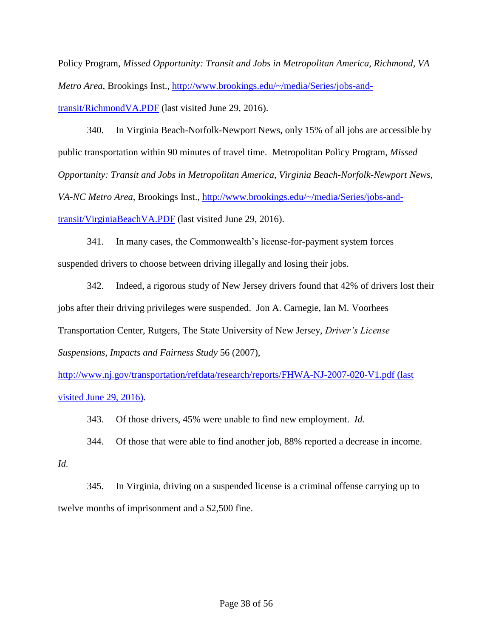Policy Program, *Missed Opportunity: Transit and Jobs in Metropolitan America, Richmond, VA Metro Area*, Brookings Inst., [http://www.brookings.edu/~/media/Series/jobs-and](http://www.brookings.edu/~/media/Series/jobs-and-transit/RichmondVA.PDF)[transit/RichmondVA.PDF](http://www.brookings.edu/~/media/Series/jobs-and-transit/RichmondVA.PDF) (last visited June 29, 2016).

340. In Virginia Beach-Norfolk-Newport News, only 15% of all jobs are accessible by public transportation within 90 minutes of travel time. Metropolitan Policy Program, *Missed Opportunity: Transit and Jobs in Metropolitan America, Virginia Beach-Norfolk-Newport News, VA-NC Metro Area*, Brookings Inst., [http://www.brookings.edu/~/media/Series/jobs-and](http://www.brookings.edu/~/media/Series/jobs-and-transit/VirginiaBeachVA.PDF)[transit/VirginiaBeachVA.PDF](http://www.brookings.edu/~/media/Series/jobs-and-transit/VirginiaBeachVA.PDF) (last visited June 29, 2016).

341. In many cases, the Commonwealth's license-for-payment system forces suspended drivers to choose between driving illegally and losing their jobs.

342. Indeed, a rigorous study of New Jersey drivers found that 42% of drivers lost their jobs after their driving privileges were suspended. Jon A. Carnegie, Ian M. Voorhees Transportation Center, Rutgers, The State University of New Jersey, *Driver's License Suspensions, Impacts and Fairness Study* 56 (2007),

<http://www.nj.gov/transportation/refdata/research/reports/FHWA-NJ-2007-020-V1.pdf> (last visited June 29, 2016).

343. Of those drivers, 45% were unable to find new employment. *Id.*

344. Of those that were able to find another job, 88% reported a decrease in income.

*Id.*

345. In Virginia, driving on a suspended license is a criminal offense carrying up to twelve months of imprisonment and a \$2,500 fine.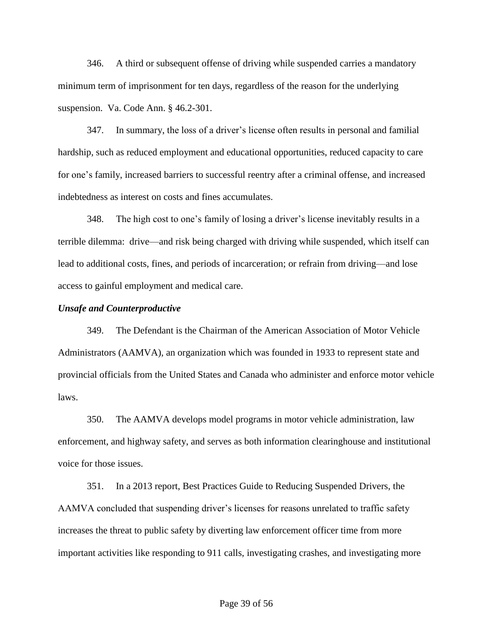346. A third or subsequent offense of driving while suspended carries a mandatory minimum term of imprisonment for ten days, regardless of the reason for the underlying suspension. Va. Code Ann. § 46.2-301.

347. In summary, the loss of a driver's license often results in personal and familial hardship, such as reduced employment and educational opportunities, reduced capacity to care for one's family, increased barriers to successful reentry after a criminal offense, and increased indebtedness as interest on costs and fines accumulates.

348. The high cost to one's family of losing a driver's license inevitably results in a terrible dilemma: drive—and risk being charged with driving while suspended, which itself can lead to additional costs, fines, and periods of incarceration; or refrain from driving—and lose access to gainful employment and medical care.

#### *Unsafe and Counterproductive*

349. The Defendant is the Chairman of the American Association of Motor Vehicle Administrators (AAMVA), an organization which was founded in 1933 to represent state and provincial officials from the United States and Canada who administer and enforce motor vehicle laws.

350. The AAMVA develops model programs in motor vehicle administration, law enforcement, and highway safety, and serves as both information clearinghouse and institutional voice for those issues.

351. In a 2013 report, Best Practices Guide to Reducing Suspended Drivers, the AAMVA concluded that suspending driver's licenses for reasons unrelated to traffic safety increases the threat to public safety by diverting law enforcement officer time from more important activities like responding to 911 calls, investigating crashes, and investigating more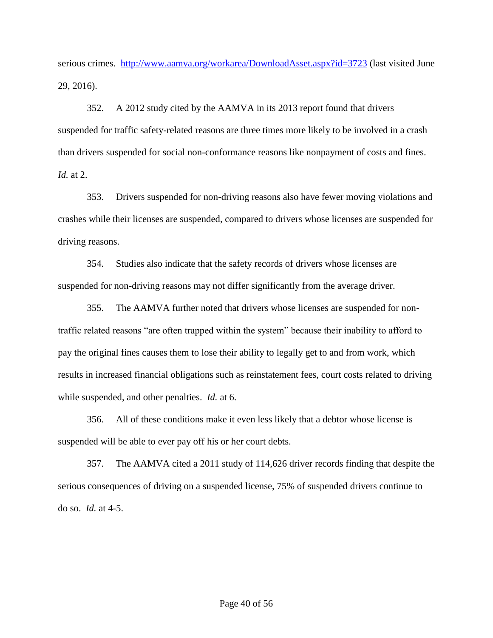serious crimes. <http://www.aamva.org/workarea/DownloadAsset.aspx?id=3723> (last visited June 29, 2016).

352. A 2012 study cited by the AAMVA in its 2013 report found that drivers suspended for traffic safety-related reasons are three times more likely to be involved in a crash than drivers suspended for social non-conformance reasons like nonpayment of costs and fines. *Id.* at 2.

353. Drivers suspended for non-driving reasons also have fewer moving violations and crashes while their licenses are suspended, compared to drivers whose licenses are suspended for driving reasons.

354. Studies also indicate that the safety records of drivers whose licenses are suspended for non-driving reasons may not differ significantly from the average driver.

355. The AAMVA further noted that drivers whose licenses are suspended for nontraffic related reasons "are often trapped within the system" because their inability to afford to pay the original fines causes them to lose their ability to legally get to and from work, which results in increased financial obligations such as reinstatement fees, court costs related to driving while suspended, and other penalties. *Id.* at 6.

356. All of these conditions make it even less likely that a debtor whose license is suspended will be able to ever pay off his or her court debts.

357. The AAMVA cited a 2011 study of 114,626 driver records finding that despite the serious consequences of driving on a suspended license, 75% of suspended drivers continue to do so. *Id.* at 4-5.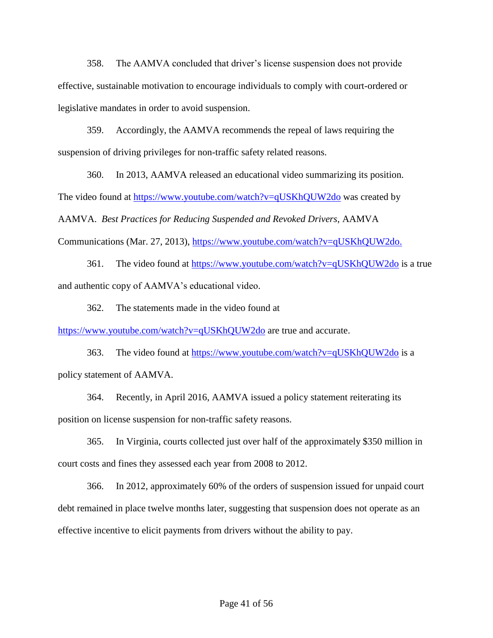358. The AAMVA concluded that driver's license suspension does not provide effective, sustainable motivation to encourage individuals to comply with court-ordered or legislative mandates in order to avoid suspension.

359. Accordingly, the AAMVA recommends the repeal of laws requiring the suspension of driving privileges for non-traffic safety related reasons.

360. In 2013, AAMVA released an educational video summarizing its position. The video found at<https://www.youtube.com/watch?v=qUSKhQUW2do> was created by AAMVA. *Best Practices for Reducing Suspended and Revoked Drivers*, AAMVA Communications (Mar. 27, 2013), [https://www.youtube.com/watch?v=qUSKhQUW2do.](https://www.youtube.com/watch?v=qUSKhQUW2do)

361. The video found at<https://www.youtube.com/watch?v=qUSKhQUW2do> is a true and authentic copy of AAMVA's educational video.

362. The statements made in the video found at

<https://www.youtube.com/watch?v=qUSKhQUW2do> are true and accurate.

363. The video found at<https://www.youtube.com/watch?v=qUSKhQUW2do> is a policy statement of AAMVA.

364. Recently, in April 2016, AAMVA issued a policy statement reiterating its position on license suspension for non-traffic safety reasons.

365. In Virginia, courts collected just over half of the approximately \$350 million in court costs and fines they assessed each year from 2008 to 2012.

366. In 2012, approximately 60% of the orders of suspension issued for unpaid court debt remained in place twelve months later, suggesting that suspension does not operate as an effective incentive to elicit payments from drivers without the ability to pay.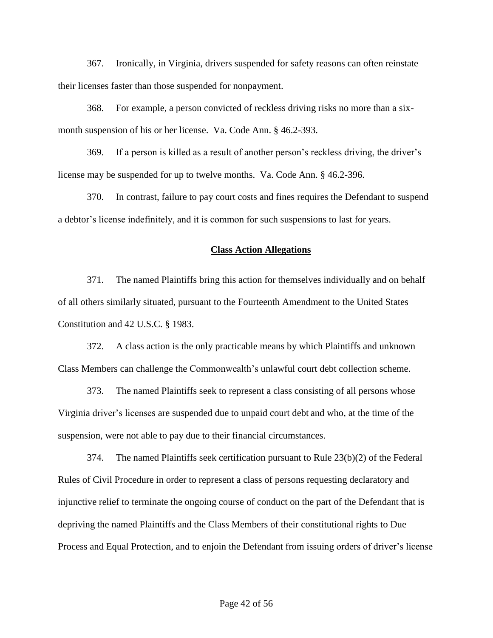367. Ironically, in Virginia, drivers suspended for safety reasons can often reinstate their licenses faster than those suspended for nonpayment.

368. For example, a person convicted of reckless driving risks no more than a sixmonth suspension of his or her license. Va. Code Ann. § 46.2-393.

369. If a person is killed as a result of another person's reckless driving, the driver's license may be suspended for up to twelve months. Va. Code Ann. § 46.2-396.

370. In contrast, failure to pay court costs and fines requires the Defendant to suspend a debtor's license indefinitely, and it is common for such suspensions to last for years.

#### **Class Action Allegations**

371. The named Plaintiffs bring this action for themselves individually and on behalf of all others similarly situated, pursuant to the Fourteenth Amendment to the United States Constitution and 42 U.S.C. § 1983.

372. A class action is the only practicable means by which Plaintiffs and unknown Class Members can challenge the Commonwealth's unlawful court debt collection scheme.

373. The named Plaintiffs seek to represent a class consisting of all persons whose Virginia driver's licenses are suspended due to unpaid court debt and who, at the time of the suspension, were not able to pay due to their financial circumstances.

374. The named Plaintiffs seek certification pursuant to Rule 23(b)(2) of the Federal Rules of Civil Procedure in order to represent a class of persons requesting declaratory and injunctive relief to terminate the ongoing course of conduct on the part of the Defendant that is depriving the named Plaintiffs and the Class Members of their constitutional rights to Due Process and Equal Protection, and to enjoin the Defendant from issuing orders of driver's license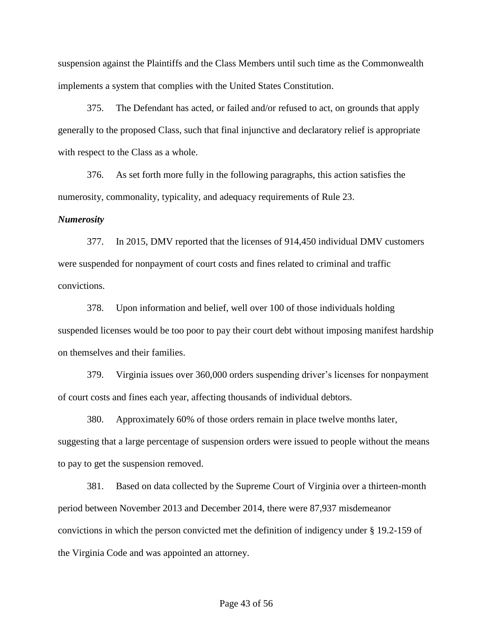suspension against the Plaintiffs and the Class Members until such time as the Commonwealth implements a system that complies with the United States Constitution.

375. The Defendant has acted, or failed and/or refused to act, on grounds that apply generally to the proposed Class, such that final injunctive and declaratory relief is appropriate with respect to the Class as a whole.

376. As set forth more fully in the following paragraphs, this action satisfies the numerosity, commonality, typicality, and adequacy requirements of Rule 23.

#### *Numerosity*

377. In 2015, DMV reported that the licenses of 914,450 individual DMV customers were suspended for nonpayment of court costs and fines related to criminal and traffic convictions.

378. Upon information and belief, well over 100 of those individuals holding suspended licenses would be too poor to pay their court debt without imposing manifest hardship on themselves and their families.

379. Virginia issues over 360,000 orders suspending driver's licenses for nonpayment of court costs and fines each year, affecting thousands of individual debtors.

380. Approximately 60% of those orders remain in place twelve months later, suggesting that a large percentage of suspension orders were issued to people without the means to pay to get the suspension removed.

381. Based on data collected by the Supreme Court of Virginia over a thirteen-month period between November 2013 and December 2014, there were 87,937 misdemeanor convictions in which the person convicted met the definition of indigency under § 19.2-159 of the Virginia Code and was appointed an attorney.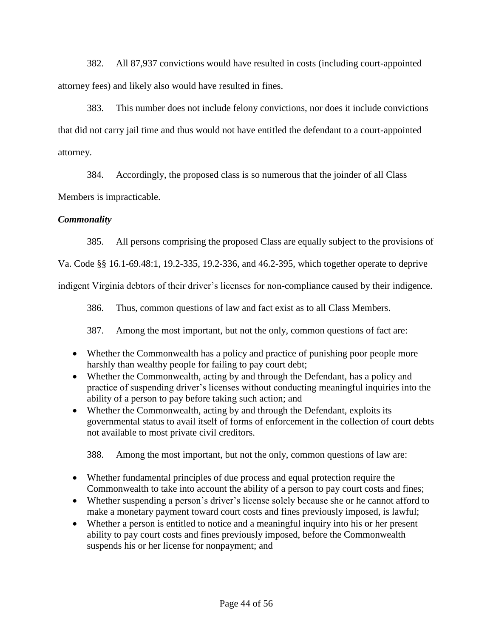382. All 87,937 convictions would have resulted in costs (including court-appointed attorney fees) and likely also would have resulted in fines.

383. This number does not include felony convictions, nor does it include convictions that did not carry jail time and thus would not have entitled the defendant to a court-appointed attorney.

384. Accordingly, the proposed class is so numerous that the joinder of all Class

Members is impracticable.

# *Commonality*

385. All persons comprising the proposed Class are equally subject to the provisions of

Va. Code §§ 16.1-69.48:1, 19.2-335, 19.2-336, and 46.2-395, which together operate to deprive

indigent Virginia debtors of their driver's licenses for non-compliance caused by their indigence.

386. Thus, common questions of law and fact exist as to all Class Members.

387. Among the most important, but not the only, common questions of fact are:

- Whether the Commonwealth has a policy and practice of punishing poor people more harshly than wealthy people for failing to pay court debt;
- Whether the Commonwealth, acting by and through the Defendant, has a policy and practice of suspending driver's licenses without conducting meaningful inquiries into the ability of a person to pay before taking such action; and
- Whether the Commonwealth, acting by and through the Defendant, exploits its governmental status to avail itself of forms of enforcement in the collection of court debts not available to most private civil creditors.

388. Among the most important, but not the only, common questions of law are:

- Whether fundamental principles of due process and equal protection require the Commonwealth to take into account the ability of a person to pay court costs and fines;
- Whether suspending a person's driver's license solely because she or he cannot afford to make a monetary payment toward court costs and fines previously imposed, is lawful;
- Whether a person is entitled to notice and a meaningful inquiry into his or her present ability to pay court costs and fines previously imposed, before the Commonwealth suspends his or her license for nonpayment; and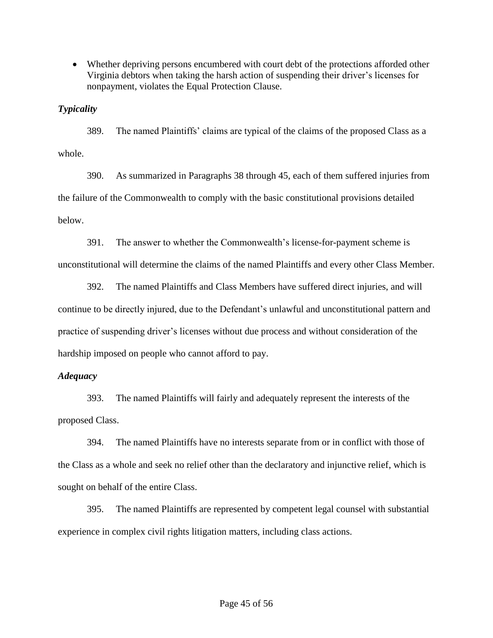Whether depriving persons encumbered with court debt of the protections afforded other Virginia debtors when taking the harsh action of suspending their driver's licenses for nonpayment, violates the Equal Protection Clause.

## *Typicality*

389. The named Plaintiffs' claims are typical of the claims of the proposed Class as a whole.

390. As summarized in Paragraphs 38 through 45, each of them suffered injuries from the failure of the Commonwealth to comply with the basic constitutional provisions detailed below.

391. The answer to whether the Commonwealth's license-for-payment scheme is unconstitutional will determine the claims of the named Plaintiffs and every other Class Member.

392. The named Plaintiffs and Class Members have suffered direct injuries, and will continue to be directly injured, due to the Defendant's unlawful and unconstitutional pattern and practice of suspending driver's licenses without due process and without consideration of the hardship imposed on people who cannot afford to pay.

## *Adequacy*

393. The named Plaintiffs will fairly and adequately represent the interests of the proposed Class.

394. The named Plaintiffs have no interests separate from or in conflict with those of the Class as a whole and seek no relief other than the declaratory and injunctive relief, which is sought on behalf of the entire Class.

395. The named Plaintiffs are represented by competent legal counsel with substantial experience in complex civil rights litigation matters, including class actions.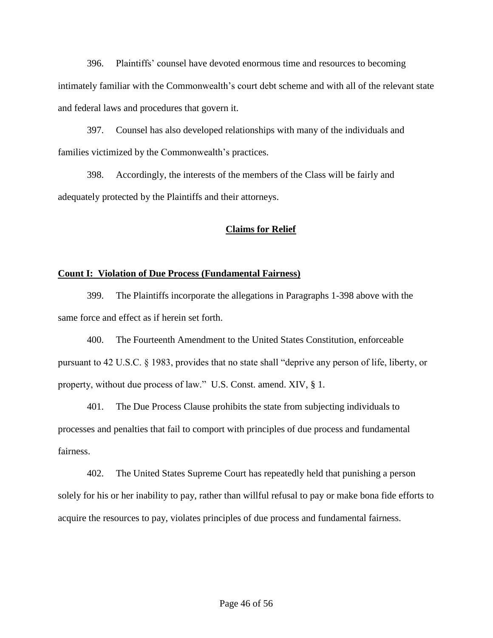396. Plaintiffs' counsel have devoted enormous time and resources to becoming intimately familiar with the Commonwealth's court debt scheme and with all of the relevant state and federal laws and procedures that govern it.

397. Counsel has also developed relationships with many of the individuals and families victimized by the Commonwealth's practices.

398. Accordingly, the interests of the members of the Class will be fairly and adequately protected by the Plaintiffs and their attorneys.

### **Claims for Relief**

### **Count I: Violation of Due Process (Fundamental Fairness)**

399. The Plaintiffs incorporate the allegations in Paragraphs 1-398 above with the same force and effect as if herein set forth.

400. The Fourteenth Amendment to the United States Constitution, enforceable pursuant to 42 U.S.C. § 1983, provides that no state shall "deprive any person of life, liberty, or property, without due process of law." U.S. Const. amend. XIV, § 1.

401. The Due Process Clause prohibits the state from subjecting individuals to processes and penalties that fail to comport with principles of due process and fundamental fairness.

402. The United States Supreme Court has repeatedly held that punishing a person solely for his or her inability to pay, rather than willful refusal to pay or make bona fide efforts to acquire the resources to pay, violates principles of due process and fundamental fairness.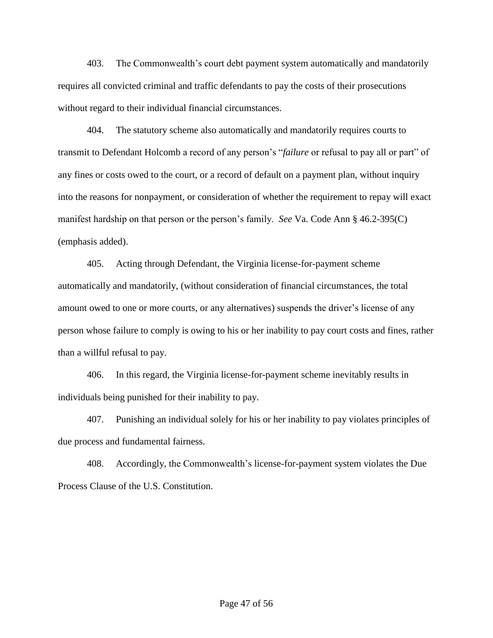403. The Commonwealth's court debt payment system automatically and mandatorily requires all convicted criminal and traffic defendants to pay the costs of their prosecutions without regard to their individual financial circumstances.

404. The statutory scheme also automatically and mandatorily requires courts to transmit to Defendant Holcomb a record of any person's "*failure* or refusal to pay all or part" of any fines or costs owed to the court, or a record of default on a payment plan, without inquiry into the reasons for nonpayment, or consideration of whether the requirement to repay will exact manifest hardship on that person or the person's family. *See* Va. Code Ann § 46.2-395(C) (emphasis added).

405. Acting through Defendant, the Virginia license-for-payment scheme automatically and mandatorily, (without consideration of financial circumstances, the total amount owed to one or more courts, or any alternatives) suspends the driver's license of any person whose failure to comply is owing to his or her inability to pay court costs and fines, rather than a willful refusal to pay.

406. In this regard, the Virginia license-for-payment scheme inevitably results in individuals being punished for their inability to pay.

407. Punishing an individual solely for his or her inability to pay violates principles of due process and fundamental fairness.

408. Accordingly, the Commonwealth's license-for-payment system violates the Due Process Clause of the U.S. Constitution.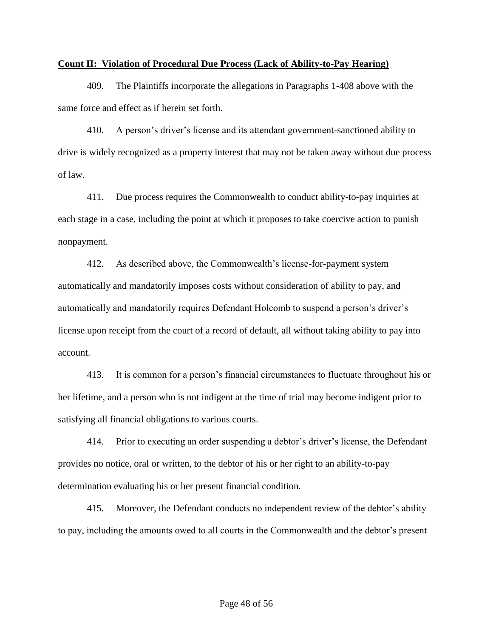#### **Count II: Violation of Procedural Due Process (Lack of Ability-to-Pay Hearing)**

409. The Plaintiffs incorporate the allegations in Paragraphs 1-408 above with the same force and effect as if herein set forth.

410. A person's driver's license and its attendant government-sanctioned ability to drive is widely recognized as a property interest that may not be taken away without due process of law.

411. Due process requires the Commonwealth to conduct ability-to-pay inquiries at each stage in a case, including the point at which it proposes to take coercive action to punish nonpayment.

412. As described above, the Commonwealth's license-for-payment system automatically and mandatorily imposes costs without consideration of ability to pay, and automatically and mandatorily requires Defendant Holcomb to suspend a person's driver's license upon receipt from the court of a record of default, all without taking ability to pay into account.

413. It is common for a person's financial circumstances to fluctuate throughout his or her lifetime, and a person who is not indigent at the time of trial may become indigent prior to satisfying all financial obligations to various courts.

414. Prior to executing an order suspending a debtor's driver's license, the Defendant provides no notice, oral or written, to the debtor of his or her right to an ability-to-pay determination evaluating his or her present financial condition.

415. Moreover, the Defendant conducts no independent review of the debtor's ability to pay, including the amounts owed to all courts in the Commonwealth and the debtor's present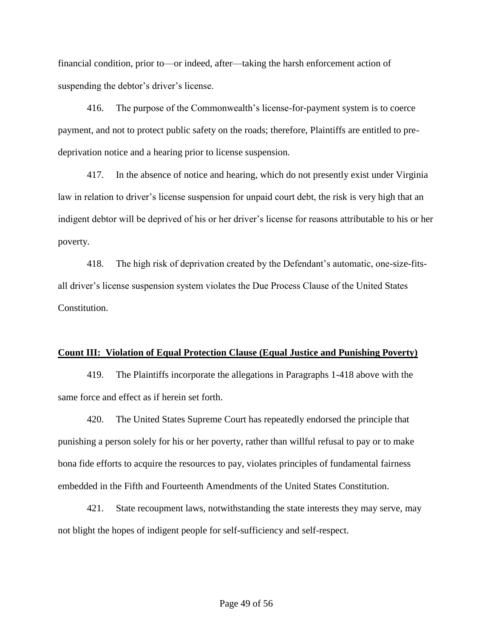financial condition, prior to—or indeed, after—taking the harsh enforcement action of suspending the debtor's driver's license.

416. The purpose of the Commonwealth's license-for-payment system is to coerce payment, and not to protect public safety on the roads; therefore, Plaintiffs are entitled to predeprivation notice and a hearing prior to license suspension.

417. In the absence of notice and hearing, which do not presently exist under Virginia law in relation to driver's license suspension for unpaid court debt, the risk is very high that an indigent debtor will be deprived of his or her driver's license for reasons attributable to his or her poverty.

418. The high risk of deprivation created by the Defendant's automatic, one-size-fitsall driver's license suspension system violates the Due Process Clause of the United States Constitution.

#### **Count III: Violation of Equal Protection Clause (Equal Justice and Punishing Poverty)**

419. The Plaintiffs incorporate the allegations in Paragraphs 1-418 above with the same force and effect as if herein set forth.

420. The United States Supreme Court has repeatedly endorsed the principle that punishing a person solely for his or her poverty, rather than willful refusal to pay or to make bona fide efforts to acquire the resources to pay, violates principles of fundamental fairness embedded in the Fifth and Fourteenth Amendments of the United States Constitution.

421. State recoupment laws, notwithstanding the state interests they may serve, may not blight the hopes of indigent people for self**-**sufficiency and self-respect.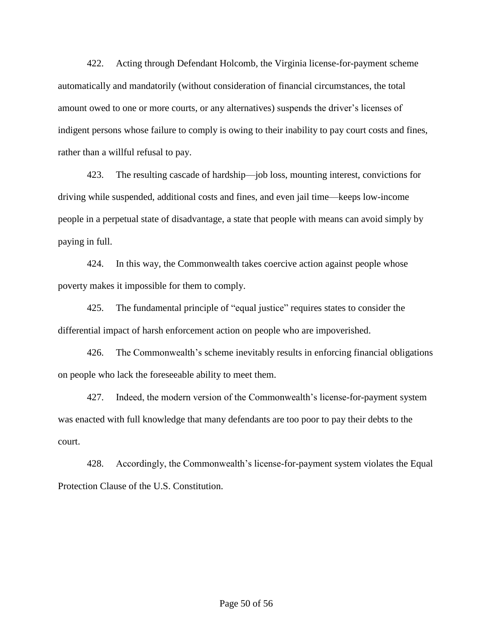422. Acting through Defendant Holcomb, the Virginia license-for-payment scheme automatically and mandatorily (without consideration of financial circumstances, the total amount owed to one or more courts, or any alternatives) suspends the driver's licenses of indigent persons whose failure to comply is owing to their inability to pay court costs and fines, rather than a willful refusal to pay.

423. The resulting cascade of hardship—job loss, mounting interest, convictions for driving while suspended, additional costs and fines, and even jail time—keeps low-income people in a perpetual state of disadvantage, a state that people with means can avoid simply by paying in full.

424. In this way, the Commonwealth takes coercive action against people whose poverty makes it impossible for them to comply.

425. The fundamental principle of "equal justice" requires states to consider the differential impact of harsh enforcement action on people who are impoverished.

426. The Commonwealth's scheme inevitably results in enforcing financial obligations on people who lack the foreseeable ability to meet them.

427. Indeed, the modern version of the Commonwealth's license-for-payment system was enacted with full knowledge that many defendants are too poor to pay their debts to the court.

428. Accordingly, the Commonwealth's license-for-payment system violates the Equal Protection Clause of the U.S. Constitution.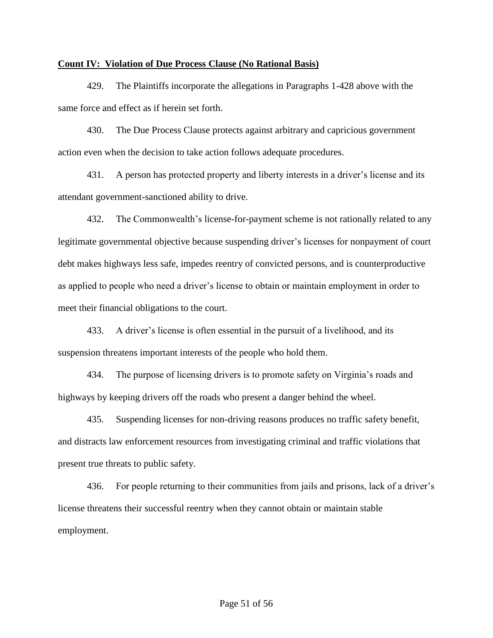### **Count IV: Violation of Due Process Clause (No Rational Basis)**

429. The Plaintiffs incorporate the allegations in Paragraphs 1-428 above with the same force and effect as if herein set forth.

430. The Due Process Clause protects against arbitrary and capricious government action even when the decision to take action follows adequate procedures.

431. A person has protected property and liberty interests in a driver's license and its attendant government-sanctioned ability to drive.

432. The Commonwealth's license-for-payment scheme is not rationally related to any legitimate governmental objective because suspending driver's licenses for nonpayment of court debt makes highways less safe, impedes reentry of convicted persons, and is counterproductive as applied to people who need a driver's license to obtain or maintain employment in order to meet their financial obligations to the court.

433. A driver's license is often essential in the pursuit of a livelihood, and its suspension threatens important interests of the people who hold them.

434. The purpose of licensing drivers is to promote safety on Virginia's roads and highways by keeping drivers off the roads who present a danger behind the wheel.

435. Suspending licenses for non-driving reasons produces no traffic safety benefit, and distracts law enforcement resources from investigating criminal and traffic violations that present true threats to public safety.

436. For people returning to their communities from jails and prisons, lack of a driver's license threatens their successful reentry when they cannot obtain or maintain stable employment.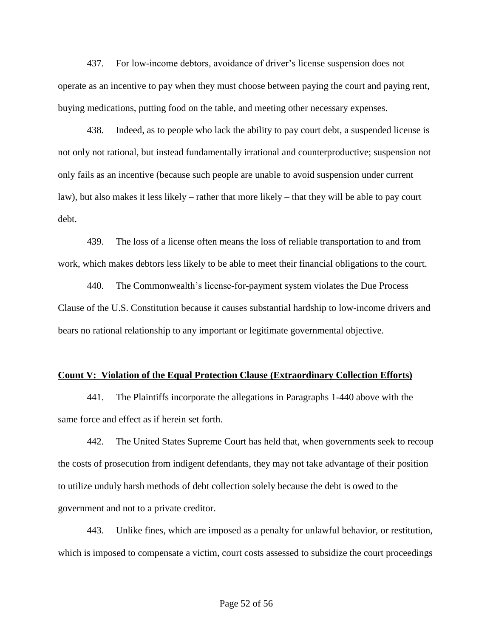437. For low-income debtors, avoidance of driver's license suspension does not operate as an incentive to pay when they must choose between paying the court and paying rent, buying medications, putting food on the table, and meeting other necessary expenses.

438. Indeed, as to people who lack the ability to pay court debt, a suspended license is not only not rational, but instead fundamentally irrational and counterproductive; suspension not only fails as an incentive (because such people are unable to avoid suspension under current law), but also makes it less likely – rather that more likely – that they will be able to pay court debt.

439. The loss of a license often means the loss of reliable transportation to and from work, which makes debtors less likely to be able to meet their financial obligations to the court.

440. The Commonwealth's license-for-payment system violates the Due Process Clause of the U.S. Constitution because it causes substantial hardship to low-income drivers and bears no rational relationship to any important or legitimate governmental objective.

#### **Count V: Violation of the Equal Protection Clause (Extraordinary Collection Efforts)**

441. The Plaintiffs incorporate the allegations in Paragraphs 1-440 above with the same force and effect as if herein set forth.

442. The United States Supreme Court has held that, when governments seek to recoup the costs of prosecution from indigent defendants, they may not take advantage of their position to utilize unduly harsh methods of debt collection solely because the debt is owed to the government and not to a private creditor.

443. Unlike fines, which are imposed as a penalty for unlawful behavior, or restitution, which is imposed to compensate a victim, court costs assessed to subsidize the court proceedings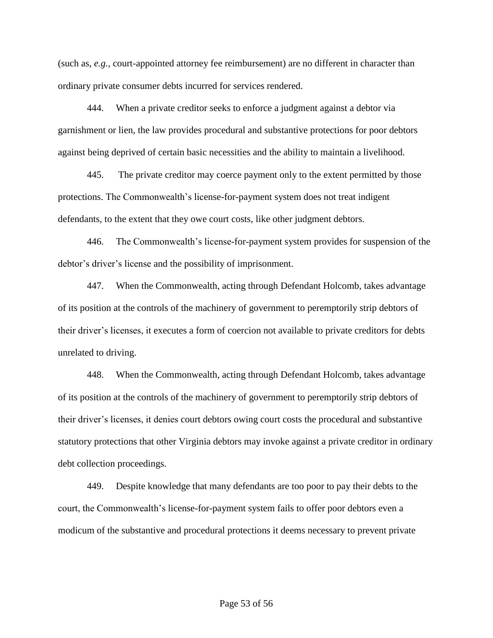(such as, *e.g.*, court-appointed attorney fee reimbursement) are no different in character than ordinary private consumer debts incurred for services rendered.

444. When a private creditor seeks to enforce a judgment against a debtor via garnishment or lien, the law provides procedural and substantive protections for poor debtors against being deprived of certain basic necessities and the ability to maintain a livelihood.

445. The private creditor may coerce payment only to the extent permitted by those protections. The Commonwealth's license-for-payment system does not treat indigent defendants, to the extent that they owe court costs, like other judgment debtors.

446. The Commonwealth's license-for-payment system provides for suspension of the debtor's driver's license and the possibility of imprisonment.

447. When the Commonwealth, acting through Defendant Holcomb, takes advantage of its position at the controls of the machinery of government to peremptorily strip debtors of their driver's licenses, it executes a form of coercion not available to private creditors for debts unrelated to driving.

448. When the Commonwealth, acting through Defendant Holcomb, takes advantage of its position at the controls of the machinery of government to peremptorily strip debtors of their driver's licenses, it denies court debtors owing court costs the procedural and substantive statutory protections that other Virginia debtors may invoke against a private creditor in ordinary debt collection proceedings.

449. Despite knowledge that many defendants are too poor to pay their debts to the court, the Commonwealth's license-for-payment system fails to offer poor debtors even a modicum of the substantive and procedural protections it deems necessary to prevent private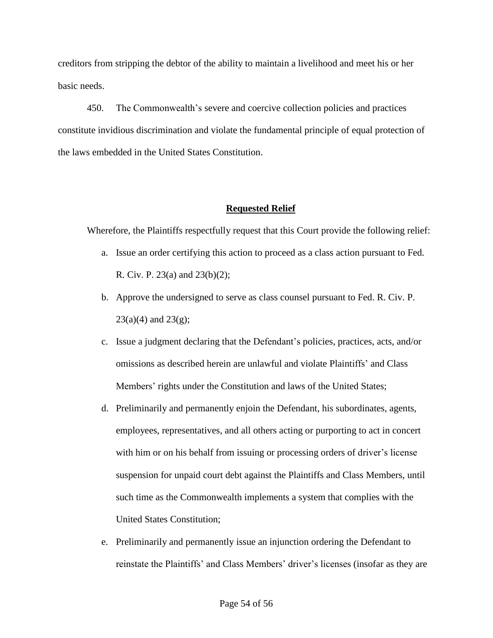creditors from stripping the debtor of the ability to maintain a livelihood and meet his or her basic needs.

450. The Commonwealth's severe and coercive collection policies and practices constitute invidious discrimination and violate the fundamental principle of equal protection of the laws embedded in the United States Constitution.

### **Requested Relief**

Wherefore, the Plaintiffs respectfully request that this Court provide the following relief:

- a. Issue an order certifying this action to proceed as a class action pursuant to Fed. R. Civ. P. 23(a) and 23(b)(2);
- b. Approve the undersigned to serve as class counsel pursuant to Fed. R. Civ. P.  $23(a)(4)$  and  $23(g)$ ;
- c. Issue a judgment declaring that the Defendant's policies, practices, acts, and/or omissions as described herein are unlawful and violate Plaintiffs' and Class Members' rights under the Constitution and laws of the United States;
- d. Preliminarily and permanently enjoin the Defendant, his subordinates, agents, employees, representatives, and all others acting or purporting to act in concert with him or on his behalf from issuing or processing orders of driver's license suspension for unpaid court debt against the Plaintiffs and Class Members, until such time as the Commonwealth implements a system that complies with the United States Constitution;
- e. Preliminarily and permanently issue an injunction ordering the Defendant to reinstate the Plaintiffs' and Class Members' driver's licenses (insofar as they are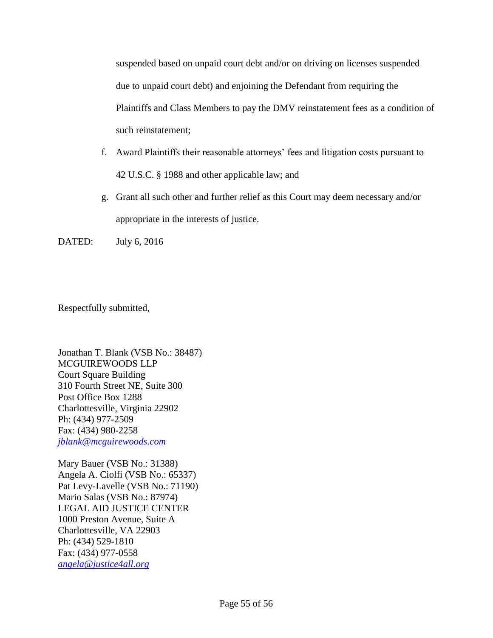suspended based on unpaid court debt and/or on driving on licenses suspended due to unpaid court debt) and enjoining the Defendant from requiring the Plaintiffs and Class Members to pay the DMV reinstatement fees as a condition of such reinstatement;

- f. Award Plaintiffs their reasonable attorneys' fees and litigation costs pursuant to 42 U.S.C. § 1988 and other applicable law; and
- g. Grant all such other and further relief as this Court may deem necessary and/or appropriate in the interests of justice.

DATED: July 6, 2016

Respectfully submitted,

Jonathan T. Blank (VSB No.: 38487) MCGUIREWOODS LLP Court Square Building 310 Fourth Street NE, Suite 300 Post Office Box 1288 Charlottesville, Virginia 22902 Ph: (434) 977-2509 Fax: (434) 980-2258 *[jblank@mcguirewoods.com](mailto:jblank@mcguirewoods.com)* 

Mary Bauer (VSB No.: 31388) Angela A. Ciolfi (VSB No.: 65337) Pat Levy-Lavelle (VSB No.: 71190) Mario Salas (VSB No.: 87974) LEGAL AID JUSTICE CENTER 1000 Preston Avenue, Suite A Charlottesville, VA 22903 Ph: (434) 529-1810 Fax: (434) 977-0558 *[angela@justice4all.org](mailto:angela@justice4all.org)*